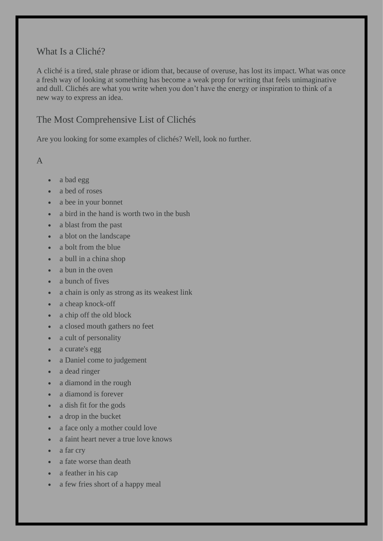## What Is a Cliché?

A cliché is a tired, stale phrase or idiom that, because of overuse, has lost its impact. What was once a fresh way of looking at something has become a weak prop for writing that feels unimaginative and dull. Clichés are what you write when you don't have the energy or inspiration to think of a new way to express an idea.

## The Most Comprehensive List of Clichés

Are you looking for some examples of clichés? Well, look no further.

A

- a bad egg
- a bed of roses
- a bee in your bonnet
- a bird in the hand is worth two in the bush
- a blast from the past
- a blot on the landscape
- a bolt from the blue
- a bull in a china shop
- a bun in the oven
- a bunch of fives
- a chain is only as strong as its weakest link
- a cheap knock-off
- a chip off the old block
- a closed mouth gathers no feet
- a cult of personality
- a curate's egg
- a Daniel come to judgement
- a dead ringer
- a diamond in the rough
- a diamond is forever
- a dish fit for the gods
- a drop in the bucket
- a face only a mother could love
- a faint heart never a true love knows
- a far cry
- a fate worse than death
- a feather in his cap
- a few fries short of a happy meal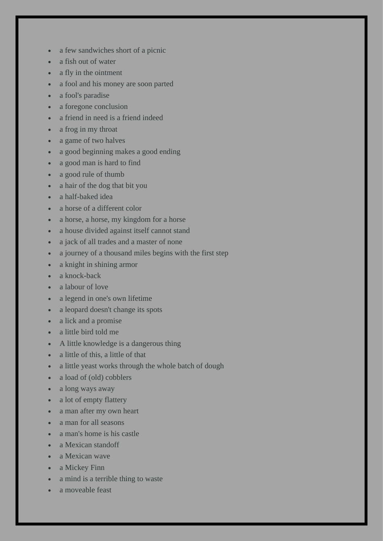- a few sandwiches short of a picnic
- a fish out of water
- a fly in the ointment
- a fool and his money are soon parted
- a fool's paradise
- a foregone conclusion
- a friend in need is a friend indeed
- a frog in my throat
- a game of two halves
- a good beginning makes a good ending
- a good man is hard to find
- a good rule of thumb
- a hair of the dog that bit you
- a half-baked idea
- a horse of a different color
- a horse, a horse, my kingdom for a horse
- a house divided against itself cannot stand
- a jack of all trades and a master of none
- a journey of a thousand miles begins with the first step
- a knight in shining armor
- a knock-back
- a labour of love
- a legend in one's own lifetime
- a leopard doesn't change its spots
- a lick and a promise
- a little bird told me
- A little knowledge is a dangerous thing
- a little of this, a little of that
- a little yeast works through the whole batch of dough
- a load of (old) cobblers
- a long ways away
- a lot of empty flattery
- a man after my own heart
- a man for all seasons
- a man's home is his castle
- a Mexican standoff
- a Mexican wave
- a Mickey Finn
- a mind is a terrible thing to waste
- a moveable feast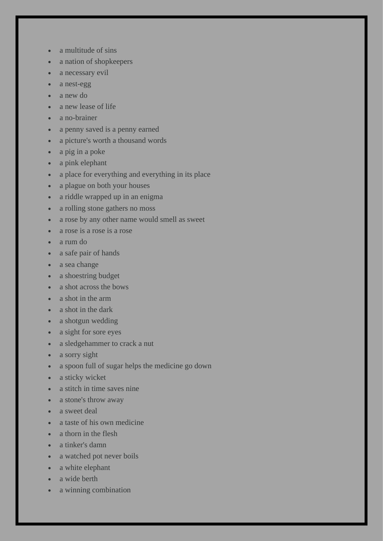- a multitude of sins
- a nation of shopkeepers
- a necessary evil
- a nest-egg
- a new do
- a new lease of life
- a no-brainer
- a penny saved is a penny earned
- a picture's worth a thousand words
- a pig in a poke
- a pink elephant
- a place for everything and everything in its place
- a plague on both your houses
- a riddle wrapped up in an enigma
- a rolling stone gathers no moss
- a rose by any other name would smell as sweet
- a rose is a rose is a rose
- a rum do
- a safe pair of hands
- a sea change
- a shoestring budget
- a shot across the bows
- a shot in the arm
- a shot in the dark
- a shotgun wedding
- a sight for sore eyes
- a sledgehammer to crack a nut
- a sorry sight
- a spoon full of sugar helps the medicine go down
- a sticky wicket
- a stitch in time saves nine
- a stone's throw away
- a sweet deal
- a taste of his own medicine
- a thorn in the flesh
- a tinker's damn
- a watched pot never boils
- a white elephant
- a wide berth
- a winning combination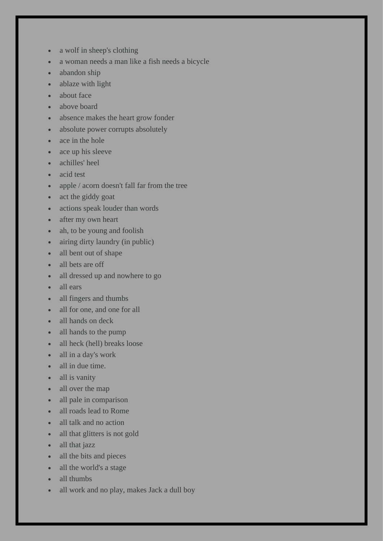- a wolf in sheep's clothing
- a woman needs a man like a fish needs a bicycle
- abandon ship
- ablaze with light
- about face
- above board
- absence makes the heart grow fonder
- absolute power corrupts absolutely
- ace in the hole
- ace up his sleeve
- achilles' heel
- acid test
- apple / acorn doesn't fall far from the tree
- act the giddy goat
- actions speak louder than words
- after my own heart
- ah, to be young and foolish
- airing dirty laundry (in public)
- all bent out of shape
- all bets are off
- all dressed up and nowhere to go
- all ears
- all fingers and thumbs
- all for one, and one for all
- all hands on deck
- all hands to the pump
- all heck (hell) breaks loose
- all in a day's work
- all in due time.
- all is vanity
- all over the map
- all pale in comparison
- all roads lead to Rome
- all talk and no action
- all that glitters is not gold
- all that jazz
- all the bits and pieces
- all the world's a stage
- all thumbs
- all work and no play, makes Jack a dull boy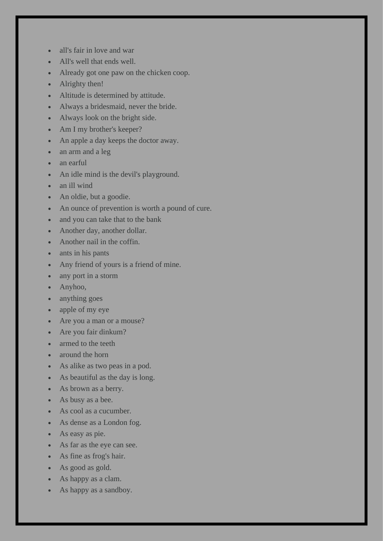- all's fair in love and war
- All's well that ends well.
- Already got one paw on the chicken coop.
- Alrighty then!
- Altitude is determined by attitude.
- Always a bridesmaid, never the bride.
- Always look on the bright side.
- Am I my brother's keeper?
- An apple a day keeps the doctor away.
- an arm and a leg
- an earful
- An idle mind is the devil's playground.
- an ill wind
- An oldie, but a goodie.
- An ounce of prevention is worth a pound of cure.
- and you can take that to the bank
- Another day, another dollar.
- Another nail in the coffin.
- ants in his pants
- Any friend of yours is a friend of mine.
- any port in a storm
- Anyhoo,
- anything goes
- apple of my eye
- Are you a man or a mouse?
- Are you fair dinkum?
- armed to the teeth
- around the horn
- As alike as two peas in a pod.
- As beautiful as the day is long.
- As brown as a berry.
- As busy as a bee.
- As cool as a cucumber.
- As dense as a London fog.
- As easy as pie.
- As far as the eye can see.
- As fine as frog's hair.
- As good as gold.
- As happy as a clam.
- As happy as a sandboy.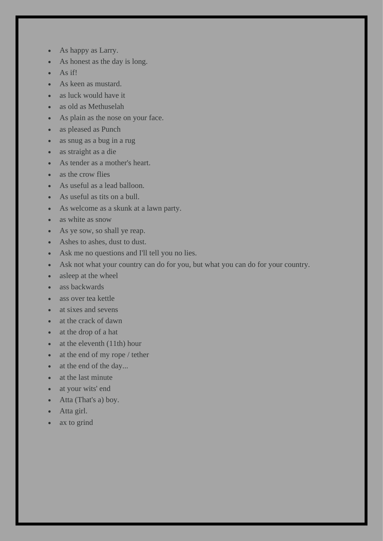- As happy as Larry.
- As honest as the day is long.
- As if!
- As keen as mustard.
- as luck would have it
- as old as Methuselah
- As plain as the nose on your face.
- as pleased as Punch
- as snug as a bug in a rug
- as straight as a die
- As tender as a mother's heart.
- as the crow flies
- As useful as a lead balloon.
- As useful as tits on a bull.
- As welcome as a skunk at a lawn party.
- as white as snow
- As ye sow, so shall ye reap.
- Ashes to ashes, dust to dust.
- Ask me no questions and I'll tell you no lies.
- Ask not what your country can do for you, but what you can do for your country.
- asleep at the wheel
- ass backwards
- ass over tea kettle
- at sixes and sevens
- at the crack of dawn
- at the drop of a hat
- at the eleventh (11th) hour
- at the end of my rope / tether
- at the end of the day...
- at the last minute
- at your wits' end
- Atta (That's a) boy.
- Atta girl.
- ax to grind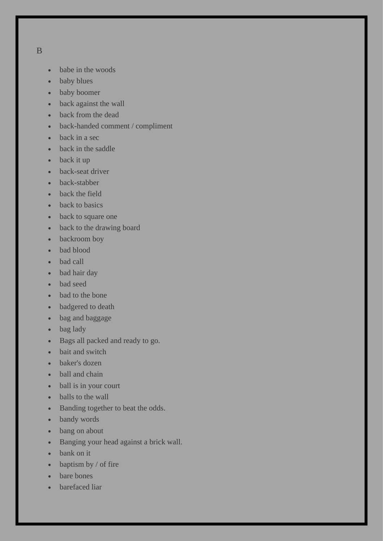- B
- babe in the woods
- baby blues
- baby boomer
- back against the wall
- back from the dead
- back-handed comment / compliment
- back in a sec
- back in the saddle
- back it up
- back-seat driver
- back-stabber
- back the field
- back to basics
- back to square one
- back to the drawing board
- backroom boy
- bad blood
- bad call
- bad hair day
- bad seed
- bad to the bone
- badgered to death
- bag and baggage
- bag lady
- Bags all packed and ready to go.
- bait and switch
- baker's dozen
- ball and chain
- ball is in your court
- balls to the wall
- Banding together to beat the odds.
- bandy words
- bang on about
- Banging your head against a brick wall.
- bank on it
- baptism by / of fire
- bare bones
- barefaced liar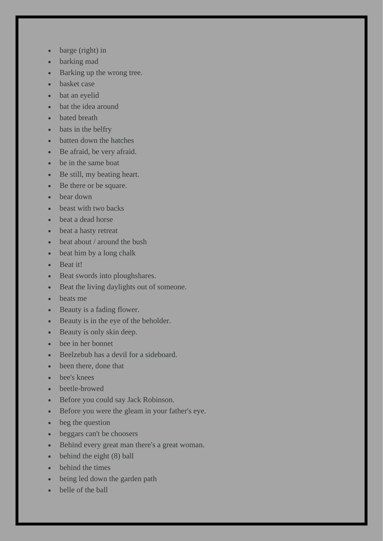- barge (right) in
- barking mad
- Barking up the wrong tree.
- basket case
- bat an eyelid
- bat the idea around
- **bated** breath
- bats in the belfry
- batten down the hatches
- Be afraid, be very afraid.
- be in the same boat
- Be still, my beating heart.
- Be there or be square.
- bear down
- beast with two backs
- beat a dead horse
- beat a hasty retreat
- beat about / around the bush
- beat him by a long chalk
- Beat it!
- Beat swords into ploughshares.
- Beat the living daylights out of someone.
- beats me
- Beauty is a fading flower.
- Beauty is in the eye of the beholder.
- Beauty is only skin deep.
- bee in her bonnet
- Beelzebub has a devil for a sideboard.
- been there, done that
- bee's knees
- beetle-browed
- Before you could say Jack Robinson.
- Before you were the gleam in your father's eye.
- beg the question
- beggars can't be choosers
- Behind every great man there's a great woman.
- behind the eight (8) ball
- behind the times
- being led down the garden path
- belle of the ball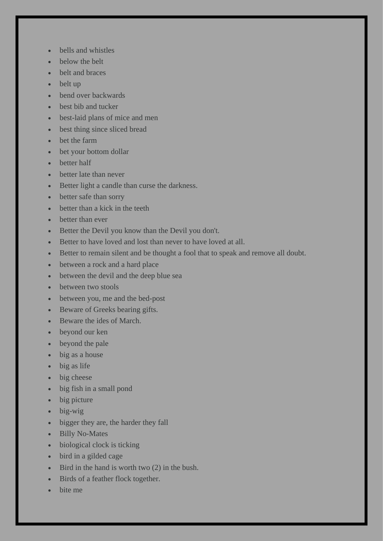- bells and whistles
- below the belt
- belt and braces
- belt up
- bend over backwards
- best bib and tucker
- best-laid plans of mice and men
- best thing since sliced bread
- bet the farm
- bet your bottom dollar
- better half
- better late than never
- Better light a candle than curse the darkness.
- better safe than sorry
- better than a kick in the teeth
- better than ever
- Better the Devil you know than the Devil you don't.
- Better to have loved and lost than never to have loved at all.
- Better to remain silent and be thought a fool that to speak and remove all doubt.
- between a rock and a hard place
- between the devil and the deep blue sea
- between two stools
- between you, me and the bed-post
- Beware of Greeks bearing gifts.
- Beware the ides of March.
- beyond our ken
- beyond the pale
- big as a house
- big as life
- big cheese
- big fish in a small pond
- big picture
- big-wig
- bigger they are, the harder they fall
- Billy No-Mates
- biological clock is ticking
- bird in a gilded cage
- Bird in the hand is worth two (2) in the bush.
- Birds of a feather flock together.
- bite me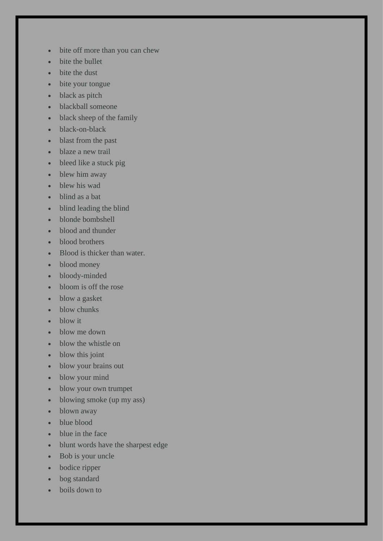- bite off more than you can chew
- bite the bullet
- bite the dust
- bite your tongue
- black as pitch
- blackball someone
- black sheep of the family
- black-on-black
- blast from the past
- blaze a new trail
- bleed like a stuck pig
- blew him away
- blew his wad
- blind as a bat
- blind leading the blind
- blonde bombshell
- blood and thunder
- blood brothers
- Blood is thicker than water.
- blood money
- bloody-minded
- bloom is off the rose
- blow a gasket
- blow chunks
- blow it
- blow me down
- blow the whistle on
- blow this joint
- blow your brains out
- blow your mind
- blow your own trumpet
- blowing smoke (up my ass)
- blown away
- blue blood
- blue in the face
- blunt words have the sharpest edge
- Bob is your uncle
- bodice ripper
- bog standard
- boils down to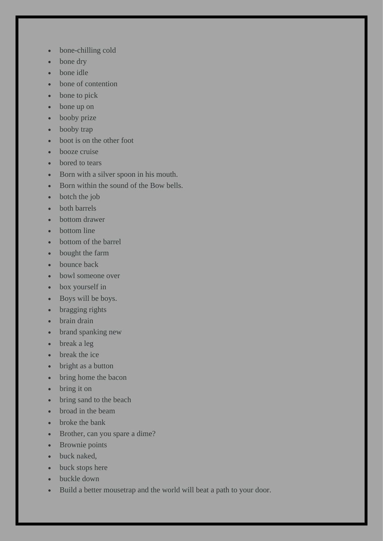- bone-chilling cold
- bone dry
- bone idle
- bone of contention
- bone to pick
- bone up on
- booby prize
- booby trap
- boot is on the other foot
- booze cruise
- bored to tears
- Born with a silver spoon in his mouth.
- Born within the sound of the Bow bells.
- botch the job
- both barrels
- bottom drawer
- bottom line
- bottom of the barrel
- bought the farm
- bounce back
- bowl someone over
- box yourself in
- Boys will be boys.
- bragging rights
- brain drain
- brand spanking new
- break a leg
- break the ice
- bright as a button
- bring home the bacon
- bring it on
- bring sand to the beach
- broad in the beam
- broke the bank
- Brother, can you spare a dime?
- Brownie points
- buck naked,
- buck stops here
- buckle down
- Build a better mousetrap and the world will beat a path to your door.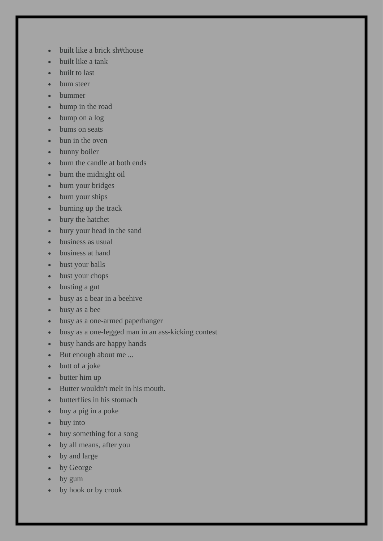- built like a brick sh#thouse
- built like a tank
- built to last
- bum steer
- bummer
- bump in the road
- bump on a log
- bums on seats
- bun in the oven
- bunny boiler
- burn the candle at both ends
- burn the midnight oil
- burn your bridges
- burn your ships
- burning up the track
- bury the hatchet
- bury your head in the sand
- business as usual
- business at hand
- bust your balls
- bust your chops
- busting a gut
- busy as a bear in a beehive
- busy as a bee
- busy as a one-armed paperhanger
- busy as a one-legged man in an ass-kicking contest
- busy hands are happy hands
- But enough about me ...
- butt of a joke
- butter him up
- Butter wouldn't melt in his mouth.
- butterflies in his stomach
- buy a pig in a poke
- buy into
- buy something for a song
- by all means, after you
- by and large
- by George
- by gum
- by hook or by crook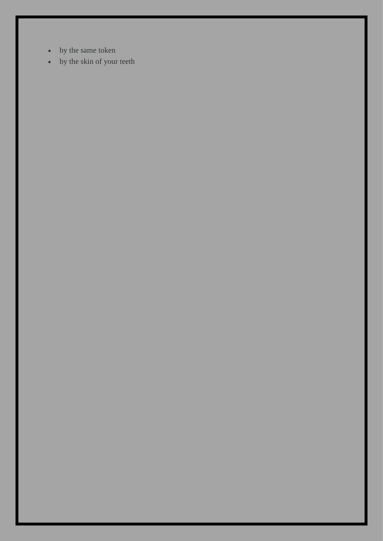- by the same token
- by the skin of your teeth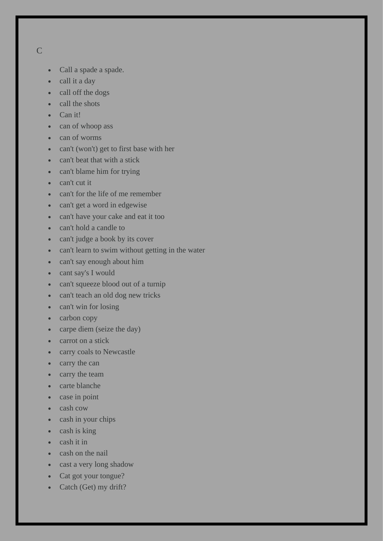- C
- Call a spade a spade.
- call it a day
- call off the dogs
- call the shots
- Can it!
- can of whoop ass
- can of worms
- can't (won't) get to first base with her
- can't beat that with a stick
- can't blame him for trying
- can't cut it
- can't for the life of me remember
- can't get a word in edgewise
- can't have your cake and eat it too
- can't hold a candle to
- can't judge a book by its cover
- can't learn to swim without getting in the water
- can't say enough about him
- cant say's I would
- can't squeeze blood out of a turnip
- can't teach an old dog new tricks
- can't win for losing
- carbon copy
- carpe diem (seize the day)
- carrot on a stick
- carry coals to Newcastle
- carry the can
- carry the team
- carte blanche
- case in point
- cash cow
- cash in your chips
- cash is king
- cash it in
- cash on the nail
- cast a very long shadow
- Cat got your tongue?
- Catch (Get) my drift?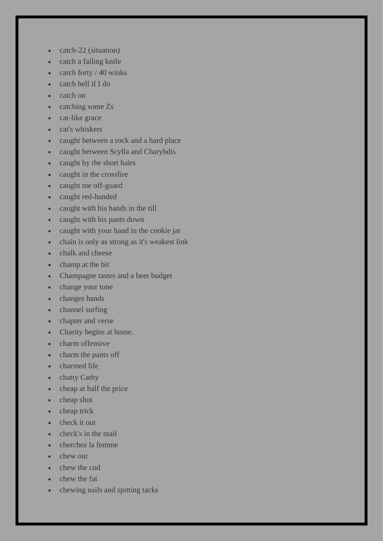- catch-22 (situation)
- catch a falling knife
- catch forty  $/$  40 winks
- catch hell if I do
- catch on
- catching some Zs
- cat-like grace
- cat's whiskers
- caught between a rock and a hard place
- caught between Scylla and Charybdis
- caught by the short hairs
- caught in the crossfire
- caught me off-guard
- caught red-handed
- caught with his hands in the till
- caught with his pants down
- caught with your hand in the cookie jar
- chain is only as strong as it's weakest link
- chalk and cheese
- champ at the bit
- Champagne tastes and a beer budget
- change your tune
- changes hands
- channel surfing
- chapter and verse
- Charity begins at home.
- charm offensive
- charm the pants off
- charmed life
- chatty Cathy
- cheap at half the price
- cheap shot
- cheap trick
- check it out
- check's in the mail
- cherchez la femme
- chew out
- chew the cud
- chew the fat
- chewing nails and spitting tacks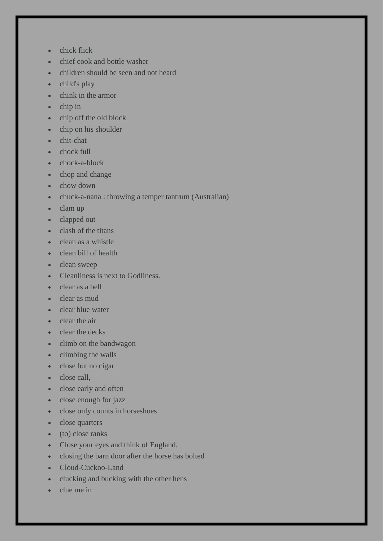- chick flick
- chief cook and bottle washer
- children should be seen and not heard
- child's play
- chink in the armor
- chip in
- chip off the old block
- chip on his shoulder
- chit-chat
- chock full
- chock-a-block
- chop and change
- chow down
- chuck-a-nana : throwing a temper tantrum (Australian)
- clam up
- clapped out
- clash of the titans
- clean as a whistle
- clean bill of health
- clean sweep
- Cleanliness is next to Godliness.
- clear as a bell
- clear as mud
- clear blue water
- clear the air
- clear the decks
- climb on the bandwagon
- climbing the walls
- close but no cigar
- close call.
- close early and often
- close enough for jazz
- close only counts in horseshoes
- close quarters
- (to) close ranks
- Close your eyes and think of England.
- closing the barn door after the horse has bolted
- Cloud-Cuckoo-Land
- clucking and bucking with the other hens
- clue me in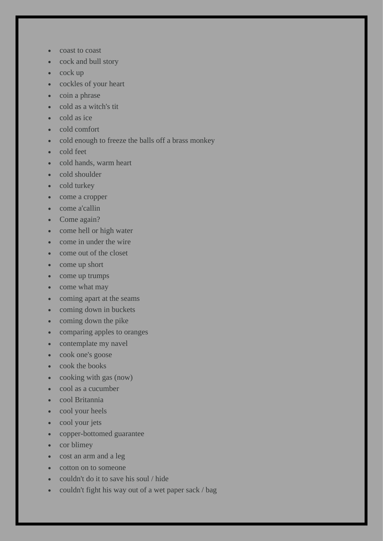- coast to coast
- cock and bull story
- cock up
- cockles of your heart
- coin a phrase
- cold as a witch's tit
- cold as ice
- cold comfort
- cold enough to freeze the balls off a brass monkey
- cold feet
- cold hands, warm heart
- cold shoulder
- cold turkey
- come a cropper
- come a'callin
- Come again?
- come hell or high water
- come in under the wire
- come out of the closet
- come up short
- come up trumps
- come what may
- coming apart at the seams
- coming down in buckets
- coming down the pike
- comparing apples to oranges
- contemplate my navel
- cook one's goose
- cook the books
- cooking with gas (now)
- cool as a cucumber
- cool Britannia
- cool your heels
- cool your jets
- copper-bottomed guarantee
- cor blimey
- cost an arm and a leg
- cotton on to someone
- couldn't do it to save his soul / hide
- couldn't fight his way out of a wet paper sack / bag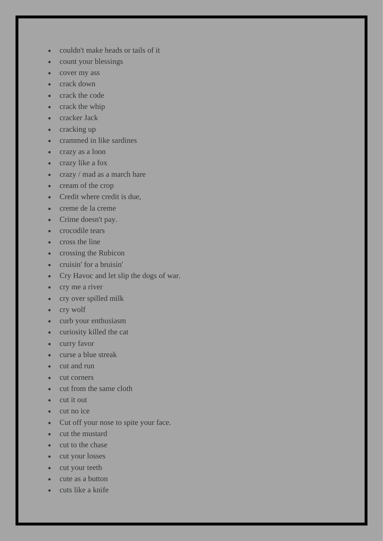- couldn't make heads or tails of it
- count your blessings
- cover my ass
- crack down
- crack the code
- crack the whip
- cracker Jack
- cracking up
- crammed in like sardines
- crazy as a loon
- crazy like a fox
- crazy / mad as a march hare
- cream of the crop
- Credit where credit is due,
- creme de la creme
- Crime doesn't pay.
- crocodile tears
- cross the line
- crossing the Rubicon
- cruisin' for a bruisin'
- Cry Havoc and let slip the dogs of war.
- cry me a river
- cry over spilled milk
- cry wolf
- curb your enthusiasm
- curiosity killed the cat
- curry favor
- curse a blue streak
- cut and run
- cut corners
- cut from the same cloth
- cut it out
- cut no ice
- Cut off your nose to spite your face.
- cut the mustard
- cut to the chase
- cut your losses
- cut your teeth
- cute as a button
- cuts like a knife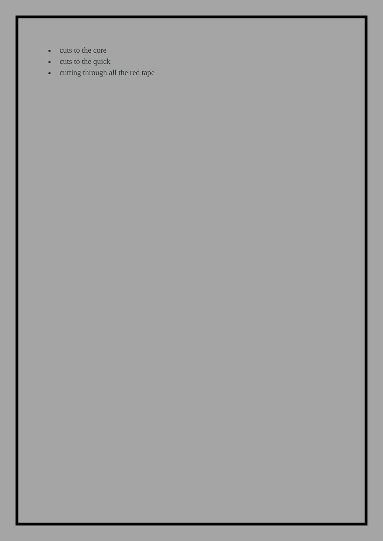- cuts to the core
- cuts to the quick
- cutting through all the red tape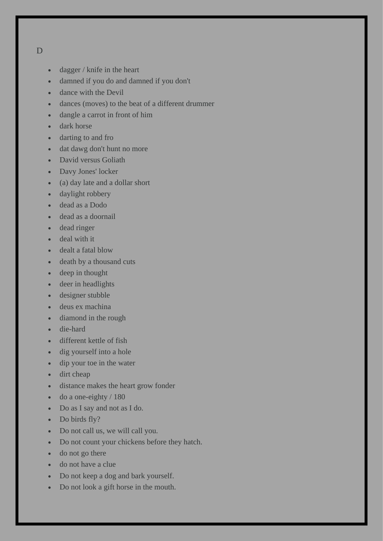## D

- dagger / knife in the heart
- damned if you do and damned if you don't
- dance with the Devil
- dances (moves) to the beat of a different drummer
- dangle a carrot in front of him
- dark horse
- darting to and fro
- dat dawg don't hunt no more
- David versus Goliath
- Davy Jones' locker
- (a) day late and a dollar short
- daylight robbery
- dead as a Dodo
- dead as a doornail
- dead ringer
- deal with it
- dealt a fatal blow
- death by a thousand cuts
- deep in thought
- deer in headlights
- designer stubble
- deus ex machina
- diamond in the rough
- die-hard
- different kettle of fish
- dig yourself into a hole
- dip your toe in the water
- dirt cheap
- distance makes the heart grow fonder
- $\bullet$  do a one-eighty / 180
- Do as I say and not as I do.
- Do birds fly?
- Do not call us, we will call you.
- Do not count your chickens before they hatch.
- do not go there
- do not have a clue
- Do not keep a dog and bark yourself.
- Do not look a gift horse in the mouth.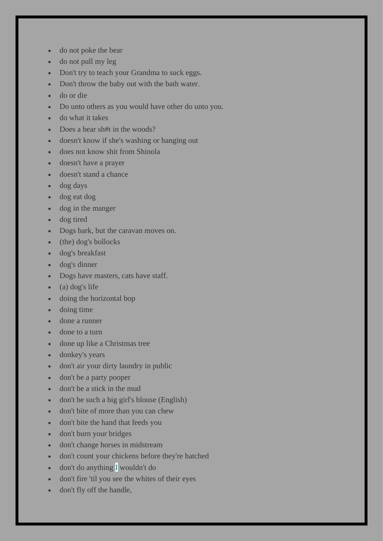- do not poke the bear
- do not pull my leg
- Don't try to teach your Grandma to suck eggs.
- Don't throw the baby out with the bath water.
- do or die
- Do unto others as you would have other do unto you.
- do what it takes
- Does a bear sh#t in the woods?
- doesn't know if she's washing or hanging out
- does not know shit from Shinola
- doesn't have a prayer
- doesn't stand a chance
- dog days
- dog eat dog
- dog in the manger
- dog tired
- Dogs bark, but the caravan moves on.
- (the) dog's bollocks
- dog's breakfast
- dog's dinner
- Dogs have masters, cats have staff.
- (a) dog's life
- doing the horizontal bop
- doing time
- done a runner
- done to a turn
- done up like a Christmas tree
- donkey's years
- don't air your dirty laundry in public
- don't be a party pooper
- don't be a stick in the mud
- don't be such a big girl's blouse (English)
- don't bite of more than you can chew
- don't bite the hand that feeds you
- don't burn your bridges
- don't change horses in midstream
- don't count your chickens before they're hatched
- don't do anything I wouldn't do
- don't fire 'til you see the whites of their eyes
- don't fly off the handle,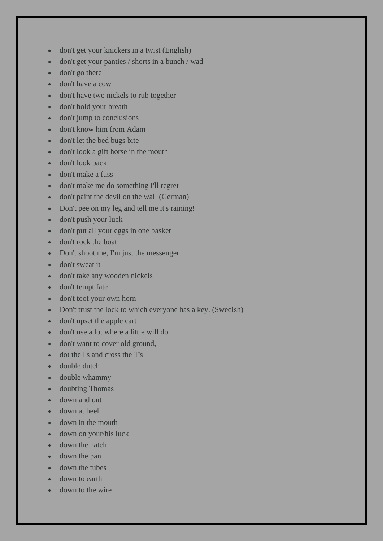- don't get your knickers in a twist (English)
- don't get your panties / shorts in a bunch / wad
- don't go there
- don't have a cow
- don't have two nickels to rub together
- don't hold your breath
- don't jump to conclusions
- don't know him from Adam
- don't let the bed bugs bite
- don't look a gift horse in the mouth
- don't look back
- don't make a fuss
- don't make me do something I'll regret
- don't paint the devil on the wall (German)
- Don't pee on my leg and tell me it's raining!
- don't push your luck
- don't put all your eggs in one basket
- don't rock the boat
- Don't shoot me, I'm just the messenger.
- don't sweat it
- don't take any wooden nickels
- don't tempt fate
- don't toot your own horn
- Don't trust the lock to which everyone has a key. (Swedish)
- don't upset the apple cart
- don't use a lot where a little will do
- don't want to cover old ground,
- dot the I's and cross the T's
- double dutch
- double whammy
- doubting Thomas
- down and out
- down at heel
- down in the mouth
- down on your/his luck
- down the hatch
- down the pan
- down the tubes
- down to earth
- down to the wire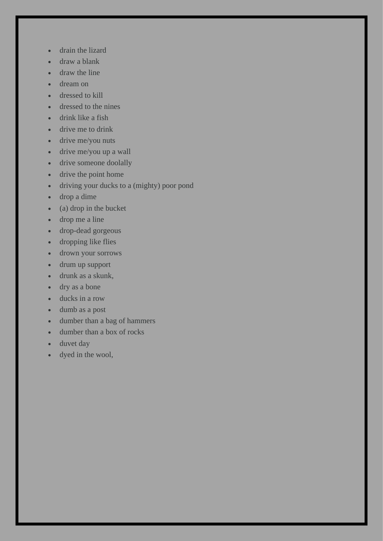- drain the lizard
- draw a blank
- draw the line
- dream on
- dressed to kill
- dressed to the nines
- drink like a fish
- drive me to drink
- drive me/you nuts
- drive me/you up a wall
- drive someone doolally
- drive the point home
- driving your ducks to a (mighty) poor pond
- drop a dime
- (a) drop in the bucket
- drop me a line
- drop-dead gorgeous
- dropping like flies
- drown your sorrows
- drum up support
- drunk as a skunk,
- dry as a bone
- ducks in a row
- dumb as a post
- dumber than a bag of hammers
- dumber than a box of rocks
- duvet day
- dyed in the wool,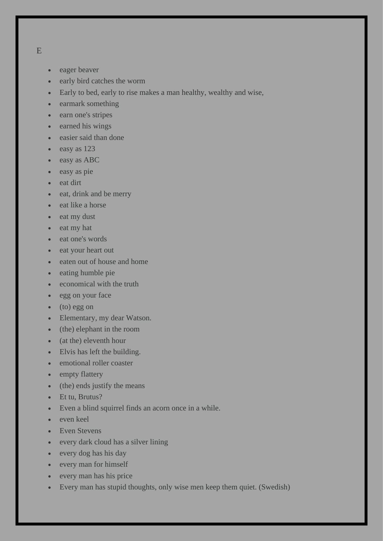- - eager beaver
	- early bird catches the worm
	- Early to bed, early to rise makes a man healthy, wealthy and wise,
	- earmark something
	- earn one's stripes
	- earned his wings
	- easier said than done
	- easy as 123
	- easy as ABC
	- easy as pie
	- eat dirt
	- eat, drink and be merry
	- eat like a horse
	- eat my dust
	- eat my hat
	- eat one's words
	- eat your heart out
	- eaten out of house and home
	- eating humble pie
	- economical with the truth
	- egg on your face
	- (to) egg on
	- Elementary, my dear Watson.
	- (the) elephant in the room
	- (at the) eleventh hour
	- Elvis has left the building.
	- emotional roller coaster
	- empty flattery
	- (the) ends justify the means
	- Et tu, Brutus?
	- Even a blind squirrel finds an acorn once in a while.
	- even keel
	- Even Stevens
	- every dark cloud has a silver lining
	- every dog has his day
	- every man for himself
	- every man has his price
	- Every man has stupid thoughts, only wise men keep them quiet. (Swedish)

E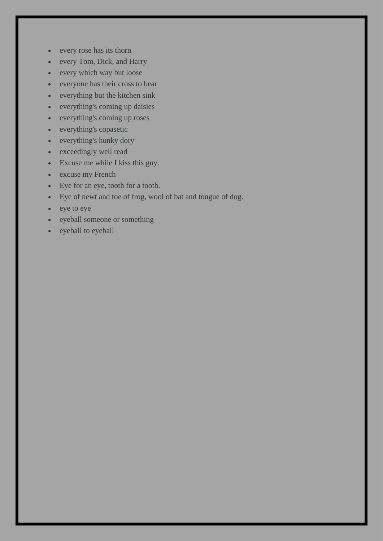- every rose has its thorn
- every Tom, Dick, and Harry
- every which way but loose
- everyone has their cross to bear
- everything but the kitchen sink
- everything's coming up daisies
- everything's coming up roses
- everything's copasetic
- everything's hunky dory
- exceedingly well read
- Excuse me while I kiss this guy.
- excuse my French
- Eye for an eye, tooth for a tooth.
- Eye of newt and toe of frog, wool of bat and tongue of dog.
- eye to eye
- eyeball someone or something
- eyeball to eyeball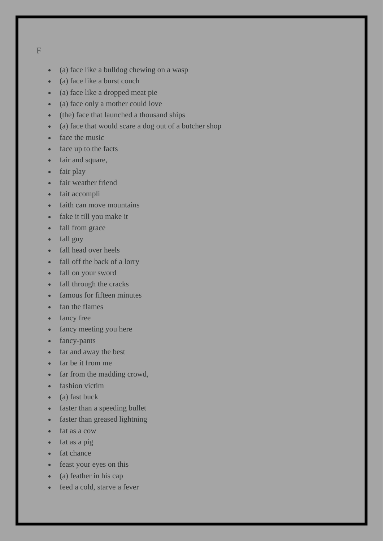F

- (a) face like a bulldog chewing on a wasp
- (a) face like a burst couch
- (a) face like a dropped meat pie
- (a) face only a mother could love
- (the) face that launched a thousand ships
- (a) face that would scare a dog out of a butcher shop
- face the music
- face up to the facts
- fair and square,
- fair play
- fair weather friend
- fait accompli
- faith can move mountains
- fake it till you make it
- fall from grace
- fall guy
- fall head over heels
- fall off the back of a lorry
- fall on your sword
- fall through the cracks
- famous for fifteen minutes
- fan the flames
- fancy free
- fancy meeting you here
- fancy-pants
- far and away the best
- far be it from me
- far from the madding crowd,
- fashion victim
- $\bullet$  (a) fast buck
- faster than a speeding bullet
- faster than greased lightning
- fat as a cow
- fat as a pig
- fat chance
- feast your eyes on this
- (a) feather in his cap
- feed a cold, starve a fever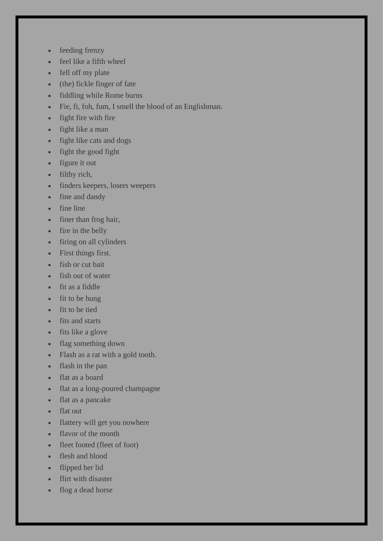- feeding frenzy
- feel like a fifth wheel
- fell off my plate
- (the) fickle finger of fate
- fiddling while Rome burns
- Fie, fi, foh, fum, I smell the blood of an Englishman.
- fight fire with fire
- fight like a man
- fight like cats and dogs
- fight the good fight
- figure it out
- filthy rich,
- finders keepers, losers weepers
- fine and dandy
- fine line
- finer than frog hair,
- fire in the belly
- firing on all cylinders
- First things first.
- fish or cut bait
- fish out of water
- fit as a fiddle
- fit to be hung
- fit to be tied
- fits and starts
- fits like a glove
- flag something down
- Flash as a rat with a gold tooth.
- flash in the pan
- flat as a board
- flat as a long-poured champagne
- flat as a pancake
- flat out
- flattery will get you nowhere
- flavor of the month
- fleet footed (fleet of foot)
- flesh and blood
- flipped her lid
- flirt with disaster
- flog a dead horse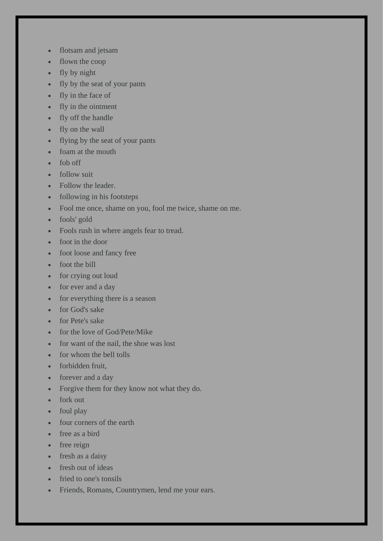- flotsam and jetsam
- flown the coop
- fly by night
- fly by the seat of your pants
- fly in the face of
- fly in the ointment
- fly off the handle
- fly on the wall
- flying by the seat of your pants
- foam at the mouth
- fob off
- follow suit
- Follow the leader.
- following in his footsteps
- Fool me once, shame on you, fool me twice, shame on me.
- fools' gold
- Fools rush in where angels fear to tread.
- foot in the door
- foot loose and fancy free
- foot the bill
- for crying out loud
- for ever and a day
- for everything there is a season
- for God's sake
- for Pete's sake
- for the love of God/Pete/Mike
- for want of the nail, the shoe was lost
- for whom the bell tolls
- forbidden fruit,
- forever and a day
- Forgive them for they know not what they do.
- fork out
- foul play
- four corners of the earth
- free as a bird
- free reign
- fresh as a daisy
- fresh out of ideas
- fried to one's tonsils
- Friends, Romans, Countrymen, lend me your ears.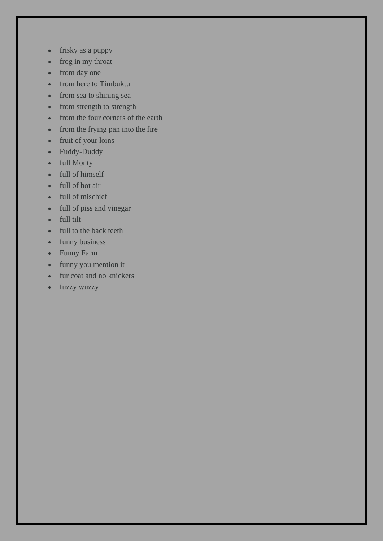- frisky as a puppy
- frog in my throat
- from day one
- from here to Timbuktu
- from sea to shining sea
- from strength to strength
- from the four corners of the earth
- from the frying pan into the fire
- fruit of your loins
- Fuddy-Duddy
- full Monty
- full of himself
- full of hot air
- full of mischief
- full of piss and vinegar
- full tilt
- full to the back teeth
- funny business
- Funny Farm
- funny you mention it
- fur coat and no knickers
- fuzzy wuzzy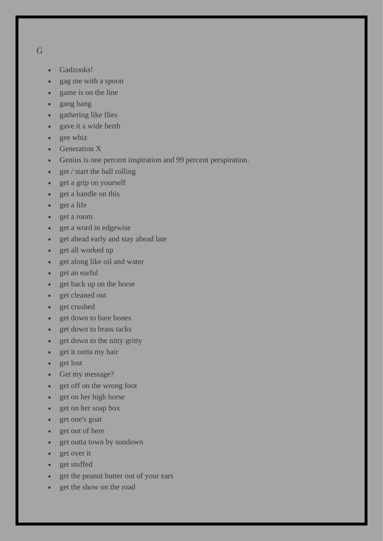- G
- Gadzooks!
- gag me with a spoon
- game is on the line
- gang bang
- gathering like flies
- gave it a wide berth
- gee whiz
- Generation X
- Genius is one percent inspiration and 99 percent perspiration.
- get / start the ball rolling
- get a grip on yourself
- get a handle on this
- get a life
- get a room
- get a word in edgewise
- get ahead early and stay ahead late
- get all worked up
- get along like oil and water
- get an earful
- get back up on the horse
- get cleaned out
- get crushed
- get down to bare bones
- get down to brass tacks
- get down to the nitty gritty
- get it outta my hair
- get lost
- Get my message?
- get off on the wrong foot
- get on her high horse
- get on her soap box
- get one's goat
- get out of here
- get outta town by sundown
- get over it
- get stuffed
- get the peanut butter out of your ears
- get the show on the road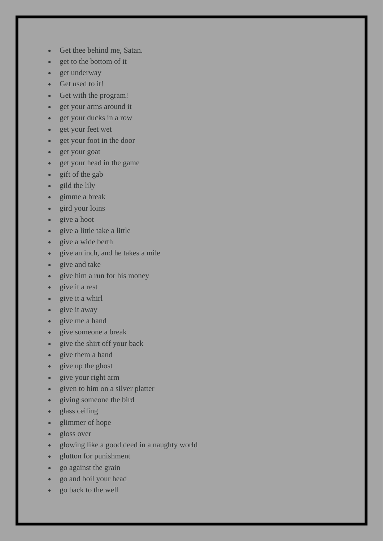- Get thee behind me, Satan.
- get to the bottom of it
- get underway
- Get used to it!
- Get with the program!
- get your arms around it
- get your ducks in a row
- get your feet wet
- get your foot in the door
- get your goat
- get your head in the game
- gift of the gab
- gild the lily
- gimme a break
- gird your loins
- give a hoot
- give a little take a little
- give a wide berth
- give an inch, and he takes a mile
- give and take
- give him a run for his money
- give it a rest
- give it a whirl
- give it away
- give me a hand
- give someone a break
- give the shirt off your back
- give them a hand
- give up the ghost
- give your right arm
- given to him on a silver platter
- giving someone the bird
- glass ceiling
- glimmer of hope
- gloss over
- glowing like a good deed in a naughty world
- glutton for punishment
- go against the grain
- go and boil your head
- go back to the well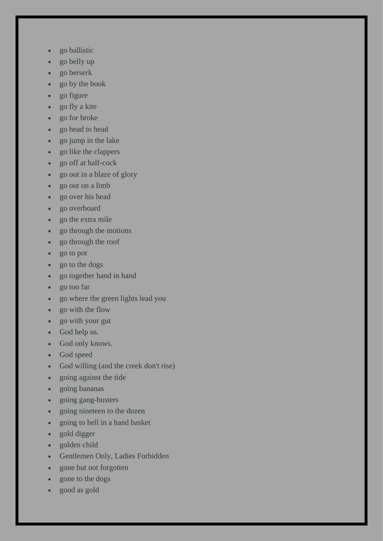- go ballistic
- go belly up
- go berserk
- go by the book
- go figure
- go fly a kite
- go for broke
- go head to head
- go jump in the lake
- go like the clappers
- go off at half-cock
- go out in a blaze of glory
- go out on a limb
- go over his head
- go overboard
- go the extra mile
- go through the motions
- go through the roof
- go to pot
- go to the dogs
- go together hand in hand
- go too far
- go where the green lights lead you
- go with the flow
- go with your gut
- God help us.
- God only knows.
- God speed
- God willing (and the creek don't rise)
- going against the tide
- going bananas
- going gang-busters
- going nineteen to the dozen
- going to hell in a hand basket
- gold digger
- golden child
- Gentlemen Only, Ladies Forbidden
- gone but not forgotten
- gone to the dogs
- good as gold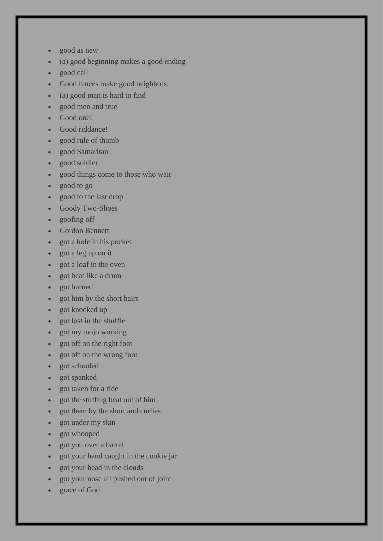- good as new
- (a) good beginning makes a good ending
- good call
- Good fences make good neighbors.
- (a) good man is hard to find
- good men and true
- Good one!
- Good riddance!
- good rule of thumb
- good Samaritan
- good soldier
- good things come to those who wait
- good to go
- good to the last drop
- Goody Two-Shoes
- goofing off
- Gordon Bennett
- got a hole in his pocket
- got a leg up on it
- got a loaf in the oven
- got beat like a drum
- got burned
- got him by the short hairs
- got knocked up
- got lost in the shuffle
- got my mojo working
- got off on the right foot
- got off on the wrong foot
- got schooled
- got spanked
- got taken for a ride
- got the stuffing beat out of him
- got them by the short and curlies
- got under my skin
- got whooped
- got you over a barrel
- got your hand caught in the cookie jar
- got your head in the clouds
- got your nose all pushed out of joint
- grace of God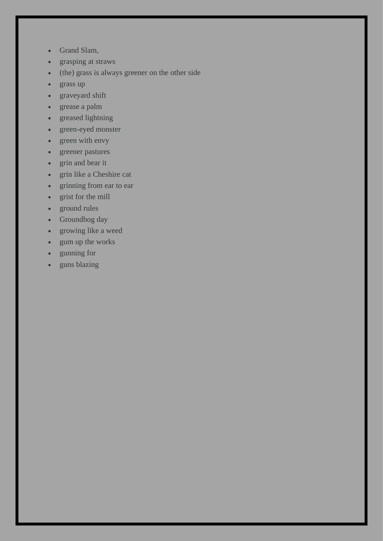- Grand Slam,
- grasping at straws
- (the) grass is always greener on the other side
- grass up
- graveyard shift
- grease a palm
- greased lightning
- green-eyed monster
- green with envy
- greener pastures
- grin and bear it
- grin like a Cheshire cat
- grinning from ear to ear
- grist for the mill
- ground rules
- Groundhog day
- growing like a weed
- gum up the works
- gunning for
- guns blazing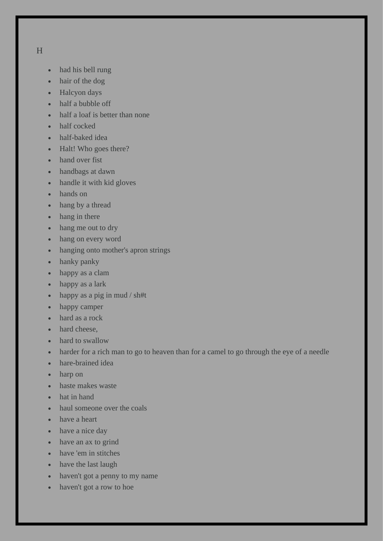H

- had his bell rung
- hair of the dog
- Halcyon days
- half a bubble off
- half a loaf is better than none
- half cocked
- half-baked idea
- Halt! Who goes there?
- hand over fist
- handbags at dawn
- handle it with kid gloves
- hands on
- hang by a thread
- hang in there
- hang me out to dry
- hang on every word
- hanging onto mother's apron strings
- hanky panky
- happy as a clam
- happy as a lark
- happy as a pig in mud / sh#t
- happy camper
- hard as a rock
- hard cheese,
- hard to swallow
- harder for a rich man to go to heaven than for a camel to go through the eye of a needle
- hare-brained idea
- harp on
- haste makes waste
- hat in hand
- haul someone over the coals
- have a heart
- have a nice day
- have an ax to grind
- have 'em in stitches
- have the last laugh
- haven't got a penny to my name
- haven't got a row to hoe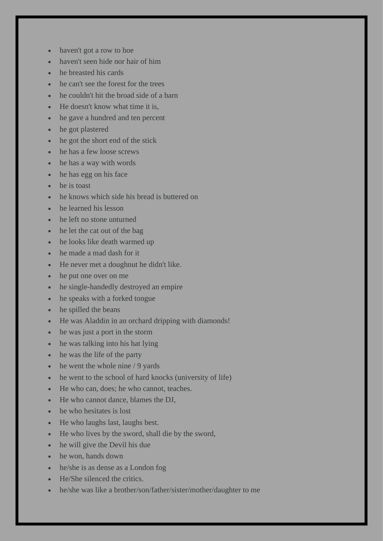- haven't got a row to hoe
- haven't seen hide nor hair of him
- he breasted his cards
- he can't see the forest for the trees
- he couldn't hit the broad side of a barn
- He doesn't know what time it is,
- he gave a hundred and ten percent
- he got plastered
- he got the short end of the stick
- he has a few loose screws
- he has a way with words
- he has egg on his face
- he is toast
- he knows which side his bread is buttered on
- he learned his lesson
- he left no stone unturned
- he let the cat out of the bag
- he looks like death warmed up
- he made a mad dash for it
- He never met a doughnut he didn't like.
- he put one over on me
- he single-handedly destroyed an empire
- he speaks with a forked tongue
- he spilled the beans
- He was Aladdin in an orchard dripping with diamonds!
- he was just a port in the storm
- he was talking into his hat lying
- he was the life of the party
- he went the whole nine / 9 yards
- he went to the school of hard knocks (university of life)
- He who can, does; he who cannot, teaches.
- He who cannot dance, blames the DJ,
- he who hesitates is lost
- He who laughs last, laughs best.
- He who lives by the sword, shall die by the sword,
- he will give the Devil his due
- he won, hands down
- he/she is as dense as a London fog
- He/She silenced the critics.
- he/she was like a brother/son/father/sister/mother/daughter to me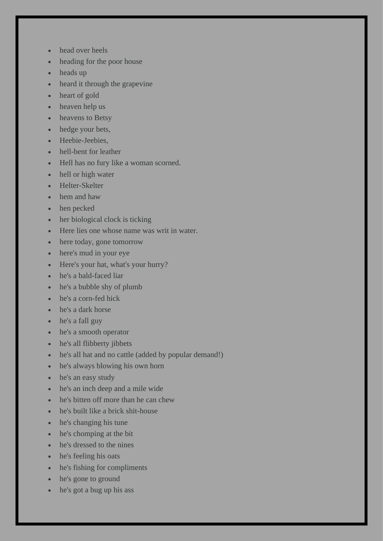- head over heels
- heading for the poor house
- heads up
- heard it through the grapevine
- heart of gold
- heaven help us
- heavens to Betsy
- hedge your bets,
- Heebie-Jeebies,
- hell-bent for leather
- Hell has no fury like a woman scorned.
- hell or high water
- Helter-Skelter
- hem and haw
- hen pecked
- her biological clock is ticking
- Here lies one whose name was writ in water.
- here today, gone tomorrow
- here's mud in your eye
- Here's your hat, what's your hurry?
- he's a bald-faced liar
- he's a bubble shy of plumb
- he's a corn-fed hick
- he's a dark horse
- he's a fall guy
- he's a smooth operator
- he's all flibberty jibbets
- he's all hat and no cattle (added by popular demand!)
- he's always blowing his own horn
- he's an easy study
- he's an inch deep and a mile wide
- he's bitten off more than he can chew
- he's built like a brick shit-house
- he's changing his tune
- he's chomping at the bit
- he's dressed to the nines
- he's feeling his oats
- he's fishing for compliments
- he's gone to ground
- he's got a bug up his ass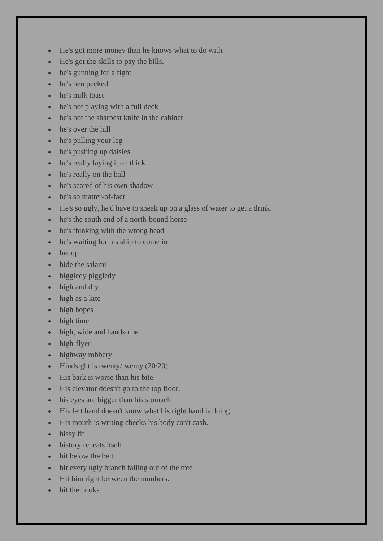- He's got more money than he knows what to do with.
- He's got the skills to pay the bills,
- he's gunning for a fight
- he's hen pecked
- he's milk toast
- he's not playing with a full deck
- he's not the sharpest knife in the cabinet
- he's over the hill
- he's pulling your leg
- he's pushing up daisies
- he's really laying it on thick
- he's really on the ball
- he's scared of his own shadow
- he's so matter-of-fact
- He's so ugly, he'd have to sneak up on a glass of water to get a drink.
- he's the south end of a north-bound horse
- he's thinking with the wrong head
- he's waiting for his ship to come in
- het up
- hide the salami
- higgledy piggledy
- high and dry
- high as a kite
- high hopes
- high time
- high, wide and handsome
- high-flyer
- highway robbery
- Hindsight is twenty/twenty (20/20),
- His bark is worse than his bite.
- His elevator doesn't go to the top floor.
- his eyes are bigger than his stomach
- His left hand doesn't know what his right hand is doing.
- His mouth is writing checks his body can't cash.
- hissy fit
- history repeats itself
- hit below the belt
- hit every ugly branch falling out of the tree
- Hit him right between the numbers.
- hit the books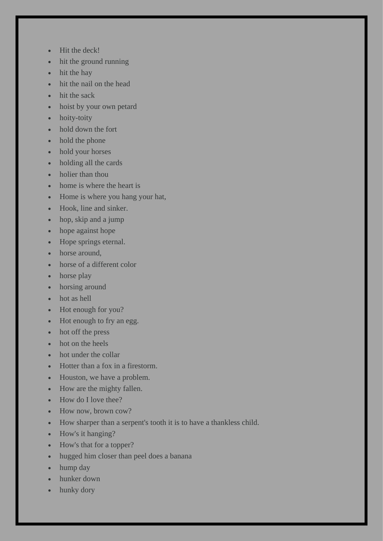- Hit the deck!
- hit the ground running
- hit the hay
- hit the nail on the head
- hit the sack
- hoist by your own petard
- hoity-toity
- hold down the fort
- hold the phone
- hold your horses
- holding all the cards
- holier than thou
- home is where the heart is
- Home is where you hang your hat,
- Hook, line and sinker.
- hop, skip and a jump
- hope against hope
- Hope springs eternal.
- horse around,
- horse of a different color
- horse play
- horsing around
- hot as hell
- Hot enough for you?
- Hot enough to fry an egg.
- hot off the press
- hot on the heels
- hot under the collar
- Hotter than a fox in a firestorm.
- Houston, we have a problem.
- How are the mighty fallen.
- How do I love thee?
- How now, brown cow?
- How sharper than a serpent's tooth it is to have a thankless child.
- How's it hanging?
- How's that for a topper?
- hugged him closer than peel does a banana
- hump day
- hunker down
- hunky dory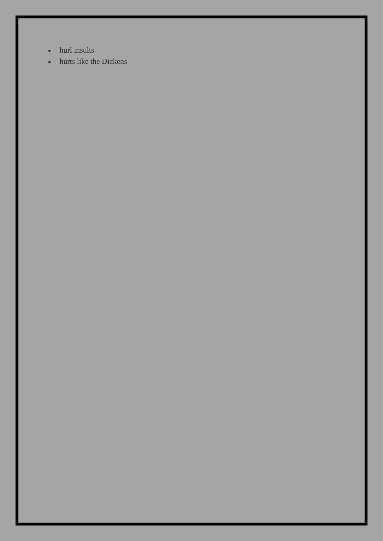- hurl insults
- hurts like the Dickens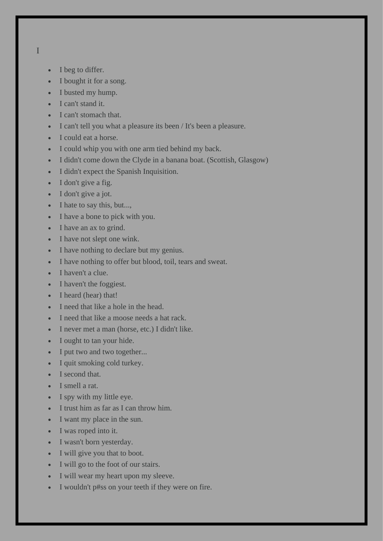- I
- I beg to differ.
- I bought it for a song.
- I busted my hump.
- I can't stand it.
- I can't stomach that.
- I can't tell you what a pleasure its been / It's been a pleasure.
- I could eat a horse.
- I could whip you with one arm tied behind my back.
- I didn't come down the Clyde in a banana boat. (Scottish, Glasgow)
- I didn't expect the Spanish Inquisition.
- I don't give a fig.
- I don't give a jot.
- I hate to say this, but...,
- I have a bone to pick with you.
- I have an ax to grind.
- I have not slept one wink.
- I have nothing to declare but my genius.
- I have nothing to offer but blood, toil, tears and sweat.
- I haven't a clue.
- I haven't the foggiest.
- I heard (hear) that!
- I need that like a hole in the head.
- I need that like a moose needs a hat rack.
- I never met a man (horse, etc.) I didn't like.
- I ought to tan your hide.
- I put two and two together...
- I quit smoking cold turkey.
- I second that.
- I smell a rat.
- I spy with my little eye.
- I trust him as far as I can throw him.
- I want my place in the sun.
- I was roped into it.
- I wasn't born yesterday.
- I will give you that to boot.
- I will go to the foot of our stairs.
- I will wear my heart upon my sleeve.
- I wouldn't p#ss on your teeth if they were on fire.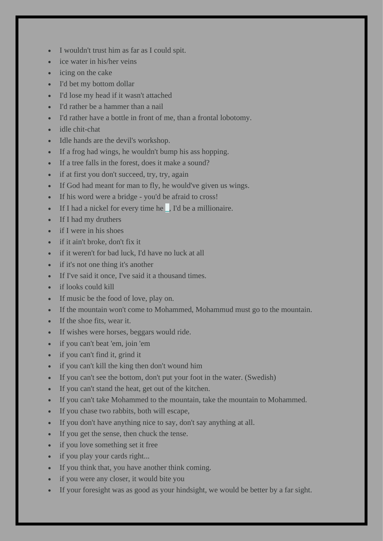- I wouldn't trust him as far as I could spit.
- ice water in his/her veins
- icing on the cake
- I'd bet my bottom dollar
- I'd lose my head if it wasn't attached
- I'd rather be a hammer than a nail
- I'd rather have a bottle in front of me, than a frontal lobotomy.
- idle chit-chat
- Idle hands are the devil's workshop.
- If a frog had wings, he wouldn't bump his ass hopping.
- If a tree falls in the forest, does it make a sound?
- if at first you don't succeed, try, try, again
- If God had meant for man to fly, he would've given us wings.
- If his word were a bridge you'd be afraid to cross!
- If I had a nickel for every time he **\_**, I'd be a millionaire.
- If I had my druthers
- if I were in his shoes
- if it ain't broke, don't fix it
- if it weren't for bad luck, I'd have no luck at all
- if it's not one thing it's another
- If I've said it once, I've said it a thousand times.
- if looks could kill
- If music be the food of love, play on.
- If the mountain won't come to Mohammed, Mohammud must go to the mountain.
- If the shoe fits, wear it.
- If wishes were horses, beggars would ride.
- if you can't beat 'em, join 'em
- if you can't find it, grind it
- if you can't kill the king then don't wound him
- If you can't see the bottom, don't put your foot in the water. (Swedish)
- If you can't stand the heat, get out of the kitchen.
- If you can't take Mohammed to the mountain, take the mountain to Mohammed.
- If you chase two rabbits, both will escape,
- If you don't have anything nice to say, don't say anything at all.
- If you get the sense, then chuck the tense.
- if you love something set it free
- if you play your cards right...
- If you think that, you have another think coming.
- if you were any closer, it would bite you
- If your foresight was as good as your hindsight, we would be better by a far sight.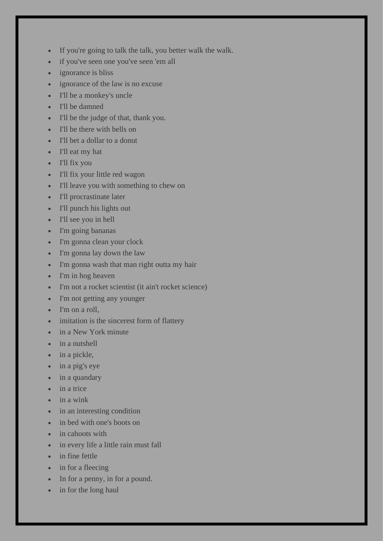- If you're going to talk the talk, you better walk the walk.
- if you've seen one you've seen 'em all
- ignorance is bliss
- ignorance of the law is no excuse
- I'll be a monkey's uncle
- I'll be damned
- I'll be the judge of that, thank you.
- I'll be there with bells on
- I'll bet a dollar to a donut
- I'll eat my hat
- I'll fix you
- I'll fix your little red wagon
- I'll leave you with something to chew on
- I'll procrastinate later
- I'll punch his lights out
- I'll see you in hell
- I'm going bananas
- I'm gonna clean your clock
- I'm gonna lay down the law
- I'm gonna wash that man right outta my hair
- I'm in hog heaven
- I'm not a rocket scientist (it ain't rocket science)
- I'm not getting any younger
- I'm on a roll,
- imitation is the sincerest form of flattery
- in a New York minute
- in a nutshell
- in a pickle,
- in a pig's eye
- in a quandary
- in a trice
- in a wink
- in an interesting condition
- in bed with one's boots on
- in cahoots with
- in every life a little rain must fall
- in fine fettle
- in for a fleecing
- In for a penny, in for a pound.
- in for the long haul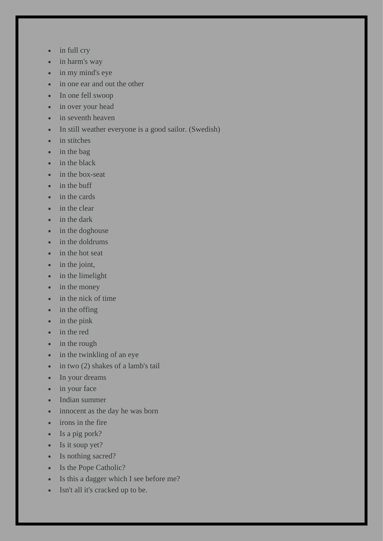- in full cry
- in harm's way
- in my mind's eye
- in one ear and out the other
- In one fell swoop
- in over your head
- in seventh heaven
- In still weather everyone is a good sailor. (Swedish)
- in stitches
- in the bag
- in the black
- in the box-seat
- in the buff
- in the cards
- in the clear
- in the dark
- in the doghouse
- in the doldrums
- in the hot seat
- in the joint,
- in the limelight
- in the money
- in the nick of time
- in the offing
- in the pink
- in the red
- in the rough
- in the twinkling of an eye
- in two (2) shakes of a lamb's tail
- In your dreams
- in your face
- Indian summer
- innocent as the day he was born
- irons in the fire
- Is a pig pork?
- Is it soup yet?
- Is nothing sacred?
- Is the Pope Catholic?
- Is this a dagger which I see before me?
- Isn't all it's cracked up to be.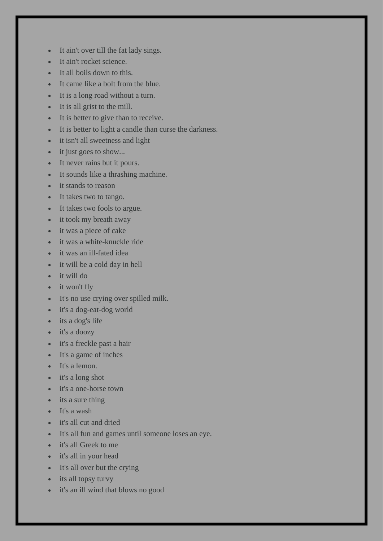- It ain't over till the fat lady sings.
- It ain't rocket science.
- It all boils down to this.
- It came like a bolt from the blue.
- It is a long road without a turn.
- It is all grist to the mill.
- It is better to give than to receive.
- It is better to light a candle than curse the darkness.
- it isn't all sweetness and light
- it just goes to show...
- It never rains but it pours.
- It sounds like a thrashing machine.
- it stands to reason
- It takes two to tango.
- It takes two fools to argue.
- it took my breath away
- it was a piece of cake
- it was a white-knuckle ride
- it was an ill-fated idea
- it will be a cold day in hell
- it will do
- it won't fly
- It's no use crying over spilled milk.
- it's a dog-eat-dog world
- its a dog's life
- it's a doozy
- it's a freckle past a hair
- It's a game of inches
- It's a lemon.
- it's a long shot
- it's a one-horse town
- its a sure thing
- It's a wash
- it's all cut and dried
- It's all fun and games until someone loses an eye.
- it's all Greek to me
- it's all in your head
- It's all over but the crying
- its all topsy turvy
- it's an ill wind that blows no good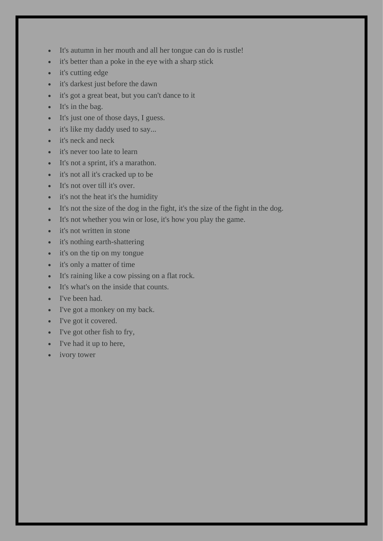- It's autumn in her mouth and all her tongue can do is rustle!
- it's better than a poke in the eye with a sharp stick
- it's cutting edge
- it's darkest just before the dawn
- it's got a great beat, but you can't dance to it
- It's in the bag.
- It's just one of those days, I guess.
- it's like my daddy used to say...
- it's neck and neck
- it's never too late to learn
- It's not a sprint, it's a marathon.
- it's not all it's cracked up to be
- It's not over till it's over.
- it's not the heat it's the humidity
- It's not the size of the dog in the fight, it's the size of the fight in the dog.
- It's not whether you win or lose, it's how you play the game.
- it's not written in stone
- it's nothing earth-shattering
- it's on the tip on my tongue
- it's only a matter of time
- It's raining like a cow pissing on a flat rock.
- It's what's on the inside that counts.
- I've been had.
- I've got a monkey on my back.
- I've got it covered.
- I've got other fish to fry,
- I've had it up to here,
- ivory tower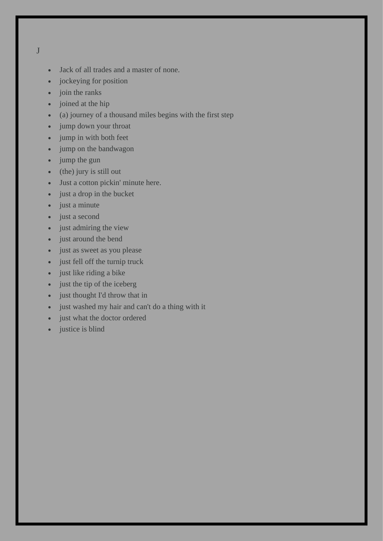J

- Jack of all trades and a master of none.
- jockeying for position
- join the ranks
- joined at the hip
- (a) journey of a thousand miles begins with the first step
- jump down your throat
- jump in with both feet
- jump on the bandwagon
- jump the gun
- (the) jury is still out
- Just a cotton pickin' minute here.
- just a drop in the bucket
- just a minute
- just a second
- just admiring the view
- just around the bend
- just as sweet as you please
- just fell off the turnip truck
- just like riding a bike
- just the tip of the iceberg
- just thought I'd throw that in
- just washed my hair and can't do a thing with it
- just what the doctor ordered
- justice is blind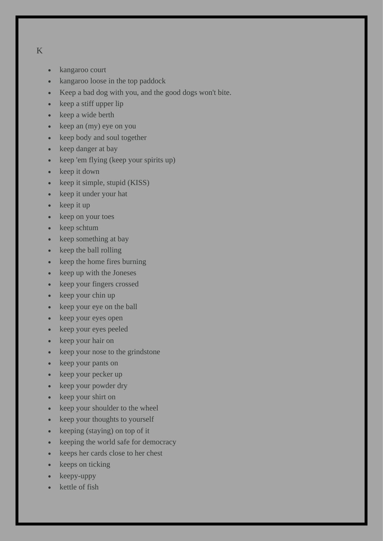## K

- kangaroo court
- kangaroo loose in the top paddock
- Keep a bad dog with you, and the good dogs won't bite.
- keep a stiff upper lip
- keep a wide berth
- keep an (my) eye on you
- keep body and soul together
- keep danger at bay
- keep 'em flying (keep your spirits up)
- keep it down
- keep it simple, stupid (KISS)
- keep it under your hat
- keep it up
- keep on your toes
- keep schtum
- keep something at bay
- keep the ball rolling
- keep the home fires burning
- keep up with the Joneses
- keep your fingers crossed
- keep your chin up
- keep your eye on the ball
- keep your eyes open
- keep your eyes peeled
- keep your hair on
- keep your nose to the grindstone
- keep your pants on
- keep your pecker up
- keep your powder dry
- keep your shirt on
- keep your shoulder to the wheel
- keep your thoughts to yourself
- keeping (staying) on top of it
- keeping the world safe for democracy
- keeps her cards close to her chest
- keeps on ticking
- keepy-uppy
- kettle of fish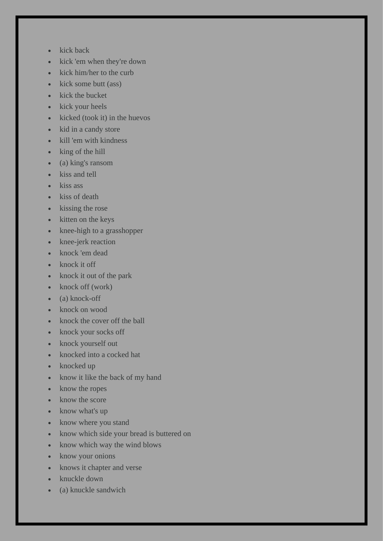- kick back
- kick 'em when they're down
- kick him/her to the curb
- kick some butt (ass)
- kick the bucket
- kick your heels
- kicked (took it) in the huevos
- kid in a candy store
- kill 'em with kindness
- king of the hill
- (a) king's ransom
- kiss and tell
- kiss ass
- kiss of death
- kissing the rose
- kitten on the keys
- knee-high to a grasshopper
- knee-jerk reaction
- knock 'em dead
- knock it off
- knock it out of the park
- knock off (work)
- (a) knock-off
- knock on wood
- knock the cover off the ball
- knock your socks off
- knock yourself out
- knocked into a cocked hat
- knocked up
- know it like the back of my hand
- know the ropes
- know the score
- know what's up
- know where you stand
- know which side your bread is buttered on
- know which way the wind blows
- know your onions
- knows it chapter and verse
- knuckle down
- (a) knuckle sandwich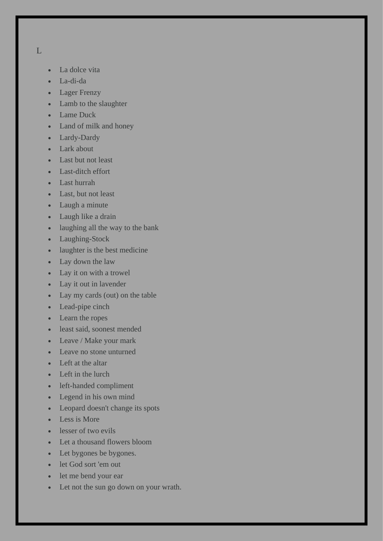$L$ 

- La dolce vita
- La-di-da
- Lager Frenzy
- Lamb to the slaughter
- Lame Duck
- Land of milk and honey
- Lardy-Dardy
- Lark about
- Last but not least
- Last-ditch effort
- Last hurrah
- Last, but not least
- Laugh a minute
- Laugh like a drain
- laughing all the way to the bank
- Laughing-Stock
- laughter is the best medicine
- Lay down the law
- Lay it on with a trowel
- Lay it out in lavender
- Lay my cards (out) on the table
- Lead-pipe cinch
- Learn the ropes
- least said, soonest mended
- Leave / Make your mark
- Leave no stone unturned
- Left at the altar
- Left in the lurch
- left-handed compliment
- Legend in his own mind
- Leopard doesn't change its spots
- Less is More
- lesser of two evils
- Let a thousand flowers bloom
- Let bygones be bygones.
- let God sort 'em out
- let me bend your ear
- Let not the sun go down on your wrath.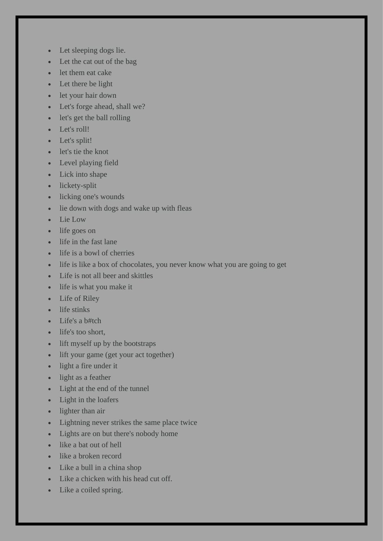- Let sleeping dogs lie.
- Let the cat out of the bag
- let them eat cake
- Let there be light
- let your hair down
- Let's forge ahead, shall we?
- let's get the ball rolling
- Let's roll!
- Let's split!
- let's tie the knot
- Level playing field
- Lick into shape
- lickety-split
- licking one's wounds
- lie down with dogs and wake up with fleas
- Lie Low
- life goes on
- life in the fast lane
- life is a bowl of cherries
- life is like a box of chocolates, you never know what you are going to get
- Life is not all beer and skittles
- life is what you make it
- Life of Riley
- life stinks
- Life's a  $b#tch$
- life's too short,
- lift myself up by the bootstraps
- lift your game (get your act together)
- light a fire under it
- light as a feather
- Light at the end of the tunnel
- Light in the loafers
- lighter than air
- Lightning never strikes the same place twice
- Lights are on but there's nobody home
- like a bat out of hell
- like a broken record
- Like a bull in a china shop
- Like a chicken with his head cut off.
- Like a coiled spring.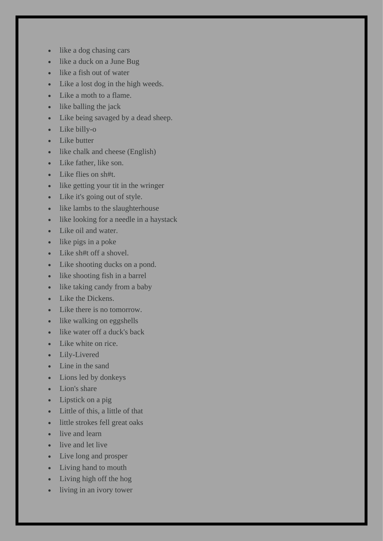- like a dog chasing cars
- like a duck on a June Bug
- like a fish out of water
- Like a lost dog in the high weeds.
- Like a moth to a flame.
- like balling the jack
- Like being savaged by a dead sheep.
- Like billy-o
- Like butter
- like chalk and cheese (English)
- Like father, like son.
- Like flies on sh#t.
- like getting your tit in the wringer
- Like it's going out of style.
- like lambs to the slaughterhouse
- like looking for a needle in a haystack
- Like oil and water.
- like pigs in a poke
- Like sh#t off a shovel.
- Like shooting ducks on a pond.
- like shooting fish in a barrel
- like taking candy from a baby
- Like the Dickens.
- Like there is no tomorrow.
- like walking on eggshells
- like water off a duck's back
- Like white on rice.
- Lily-Livered
- Line in the sand
- Lions led by donkeys
- Lion's share
- Lipstick on a pig
- Little of this, a little of that
- little strokes fell great oaks
- live and learn
- live and let live
- Live long and prosper
- Living hand to mouth
- Living high off the hog
- living in an ivory tower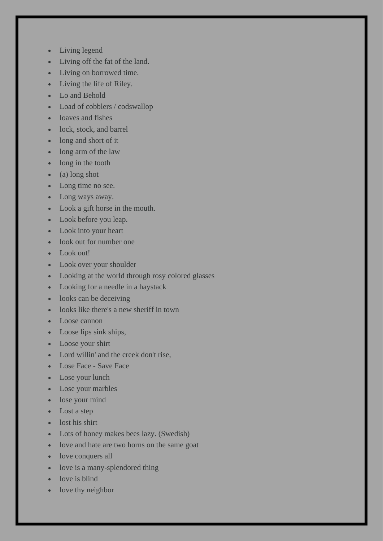- Living legend
- Living off the fat of the land.
- Living on borrowed time.
- Living the life of Riley.
- Lo and Behold
- Load of cobblers / codswallop
- loaves and fishes
- lock, stock, and barrel
- long and short of it
- long arm of the law
- long in the tooth
- (a) long shot
- Long time no see.
- Long ways away.
- Look a gift horse in the mouth.
- Look before you leap.
- Look into your heart
- look out for number one
- Look out!
- Look over your shoulder
- Looking at the world through rosy colored glasses
- Looking for a needle in a haystack
- looks can be deceiving
- looks like there's a new sheriff in town
- Loose cannon
- Loose lips sink ships,
- Loose your shirt
- Lord willin' and the creek don't rise,
- Lose Face Save Face
- Lose your lunch
- Lose your marbles
- lose your mind
- Lost a step
- lost his shirt
- Lots of honey makes bees lazy. (Swedish)
- love and hate are two horns on the same goat
- love conquers all
- love is a many-splendored thing
- love is blind
- love thy neighbor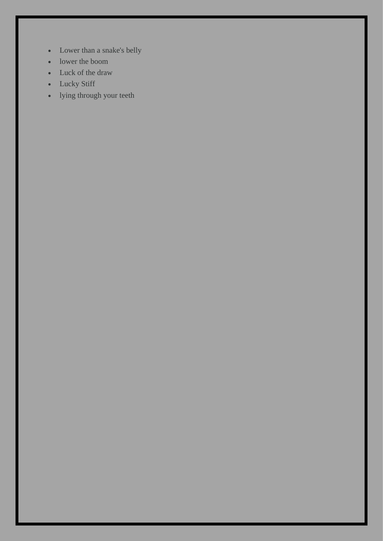- Lower than a snake's belly
- lower the boom
- Luck of the draw
- Lucky Stiff
- lying through your teeth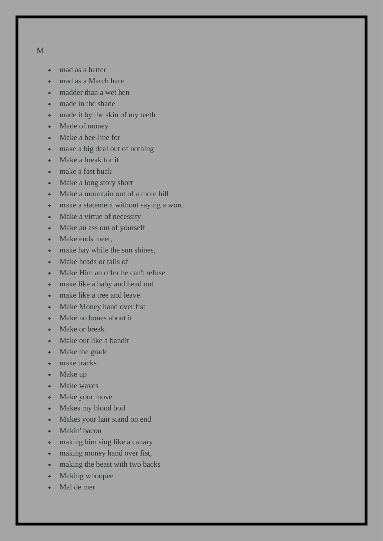- mad as a hatter
- mad as a March hare
- madder than a wet hen
- made in the shade
- made it by the skin of my teeth
- Made of money
- Make a bee-line for
- make a big deal out of nothing
- Make a break for it
- make a fast buck
- Make a long story short
- Make a mountain out of a mole hill
- make a statement without saying a word
- Make a virtue of necessity
- Make an ass out of yourself
- Make ends meet,
- make hay while the sun shines,
- Make heads or tails of
- Make Him an offer he can't refuse
- make like a baby and head out
- make like a tree and leave
- Make Money hand over fist
- Make no bones about it
- Make or break
- Make out like a bandit
- Make the grade
- make tracks
- Make up
- Make waves
- Make your move
- Makes my blood boil
- Makes your hair stand on end
- Makin' bacon
- making him sing like a canary
- making money hand over fist,
- making the beast with two backs
- Making whoopee
- Mal de mer

M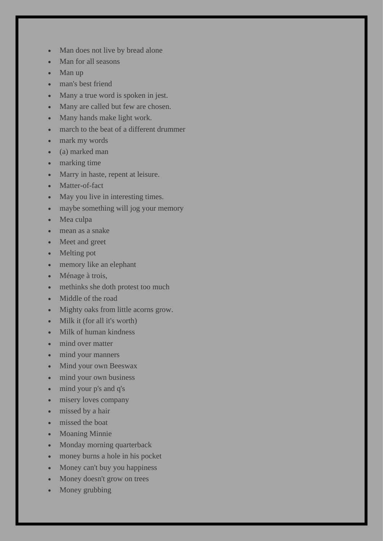- Man does not live by bread alone
- Man for all seasons
- Man up
- man's best friend
- Many a true word is spoken in jest.
- Many are called but few are chosen.
- Many hands make light work.
- march to the beat of a different drummer
- mark my words
- (a) marked man
- marking time
- Marry in haste, repent at leisure.
- Matter-of-fact
- May you live in interesting times.
- maybe something will jog your memory
- Mea culpa
- mean as a snake
- Meet and greet
- Melting pot
- memory like an elephant
- Ménage à trois,
- methinks she doth protest too much
- Middle of the road
- Mighty oaks from little acorns grow.
- Milk it (for all it's worth)
- Milk of human kindness
- mind over matter
- mind your manners
- Mind your own Beeswax
- mind your own business
- mind your p's and q's
- misery loves company
- missed by a hair
- missed the boat
- Moaning Minnie
- Monday morning quarterback
- money burns a hole in his pocket
- Money can't buy you happiness
- Money doesn't grow on trees
- Money grubbing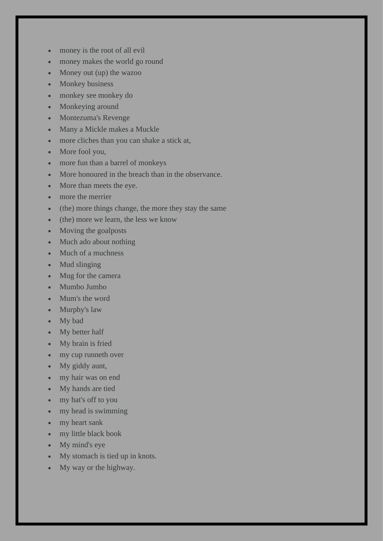- money is the root of all evil
- money makes the world go round
- Money out (up) the wazoo
- Monkey business
- monkey see monkey do
- Monkeying around
- Montezuma's Revenge
- Many a Mickle makes a Muckle
- more cliches than you can shake a stick at,
- More fool you,
- more fun than a barrel of monkeys
- More honoured in the breach than in the observance.
- More than meets the eye.
- more the merrier
- (the) more things change, the more they stay the same
- (the) more we learn, the less we know
- Moving the goalposts
- Much ado about nothing
- Much of a muchness
- Mud slinging
- Mug for the camera
- Mumbo Jumbo
- Mum's the word
- Murphy's law
- My bad
- My better half
- My brain is fried
- my cup runneth over
- My giddy aunt,
- my hair was on end
- My hands are tied
- my hat's off to you
- my head is swimming
- my heart sank
- my little black book
- My mind's eye
- My stomach is tied up in knots.
- My way or the highway.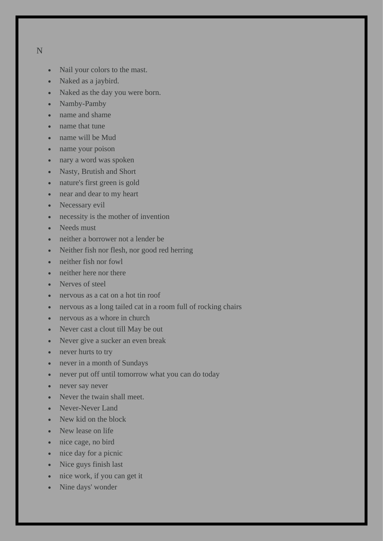## N

- Nail your colors to the mast.
- Naked as a jaybird.
- Naked as the day you were born.
- Namby-Pamby
- name and shame
- name that tune
- name will be Mud
- name your poison
- nary a word was spoken
- Nasty, Brutish and Short
- nature's first green is gold
- near and dear to my heart
- Necessary evil
- necessity is the mother of invention
- Needs must
- neither a borrower not a lender be
- Neither fish nor flesh, nor good red herring
- neither fish nor fowl
- neither here nor there
- Nerves of steel
- nervous as a cat on a hot tin roof
- nervous as a long tailed cat in a room full of rocking chairs
- nervous as a whore in church
- Never cast a clout till May be out
- Never give a sucker an even break
- never hurts to try
- never in a month of Sundays
- never put off until tomorrow what you can do today
- never say never
- Never the twain shall meet.
- Never-Never Land
- New kid on the block
- New lease on life
- nice cage, no bird
- nice day for a picnic
- Nice guys finish last
- nice work, if you can get it
- Nine days' wonder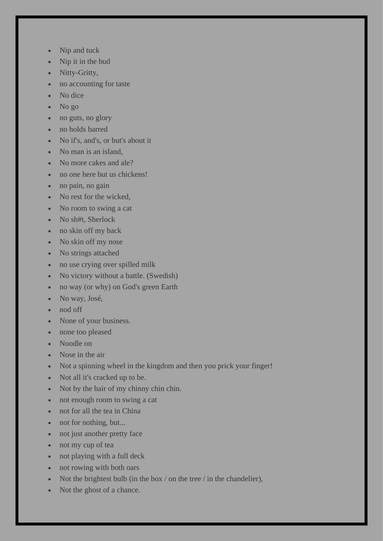- Nip and tuck
- Nip it in the bud
- Nitty-Gritty,
- no accounting for taste
- No dice
- No go
- no guts, no glory
- no holds barred
- No if's, and's, or but's about it
- No man is an island,
- No more cakes and ale?
- no one here but us chickens!
- no pain, no gain
- No rest for the wicked,
- No room to swing a cat
- No sh#t, Sherlock
- no skin off my back
- No skin off my nose
- No strings attached
- no use crying over spilled milk
- No victory without a battle. (Swedish)
- no way (or why) on God's green Earth
- No way, José,
- nod off
- None of your business.
- none too pleased
- Noodle on
- Nose in the air
- Not a spinning wheel in the kingdom and then you prick your finger!
- Not all it's cracked up to be.
- Not by the hair of my chinny chin chin.
- not enough room to swing a cat
- not for all the tea in China
- not for nothing, but...
- not just another pretty face
- not my cup of tea
- not playing with a full deck
- not rowing with both oars
- Not the brightest bulb (in the box / on the tree / in the chandelier),
- Not the ghost of a chance.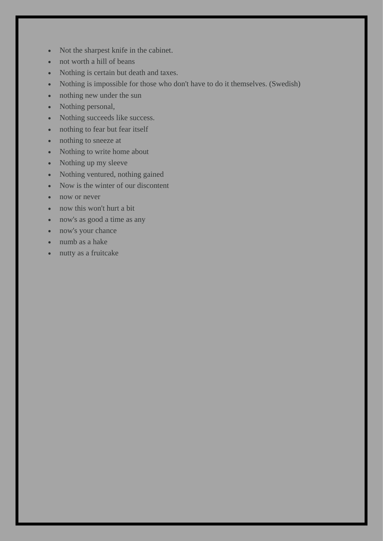- Not the sharpest knife in the cabinet.
- not worth a hill of beans
- Nothing is certain but death and taxes.
- Nothing is impossible for those who don't have to do it themselves. (Swedish)
- nothing new under the sun
- Nothing personal,
- Nothing succeeds like success.
- nothing to fear but fear itself
- nothing to sneeze at
- Nothing to write home about
- Nothing up my sleeve
- Nothing ventured, nothing gained
- Now is the winter of our discontent
- now or never
- now this won't hurt a bit
- now's as good a time as any
- now's your chance
- numb as a hake
- nutty as a fruitcake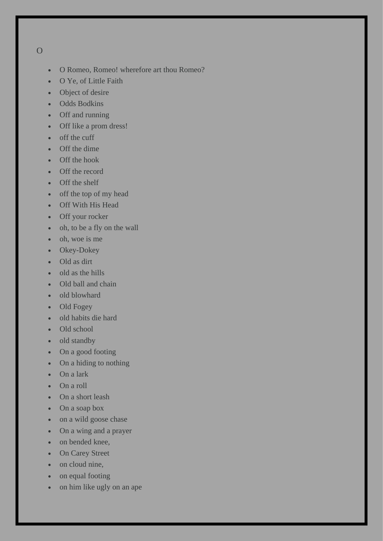## O

- O Romeo, Romeo! wherefore art thou Romeo?
- O Ye, of Little Faith
- Object of desire
- Odds Bodkins
- Off and running
- Off like a prom dress!
- off the cuff
- Off the dime
- Off the hook
- Off the record
- Off the shelf
- off the top of my head
- Off With His Head
- Off your rocker
- oh, to be a fly on the wall
- oh, woe is me
- Okey-Dokey
- Old as dirt
- old as the hills
- Old ball and chain
- old blowhard
- Old Fogey
- old habits die hard
- Old school
- old standby
- On a good footing
- On a hiding to nothing
- On a lark
- On a roll
- On a short leash
- On a soap box
- on a wild goose chase
- On a wing and a prayer
- on bended knee,
- On Carey Street
- on cloud nine,
- on equal footing
- on him like ugly on an ape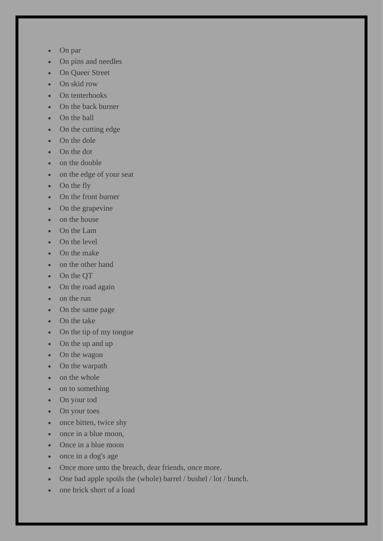- On par
- On pins and needles
- On Queer Street
- On skid row
- On tenterhooks
- On the back burner
- On the ball
- On the cutting edge
- On the dole
- On the dot
- on the double
- on the edge of your seat
- On the fly
- On the front burner
- On the grapevine
- on the house
- On the Lam
- On the level
- On the make
- on the other hand
- On the QT
- On the road again
- on the run
- On the same page
- On the take
- On the tip of my tongue
- On the up and up
- On the wagon
- On the warpath
- on the whole
- on to something
- On your tod
- On your toes
- once bitten, twice shy
- once in a blue moon,
- Once in a blue moon
- once in a dog's age
- Once more unto the breach, dear friends, once more.
- One bad apple spoils the (whole) barrel / bushel / lot / bunch.
- one brick short of a load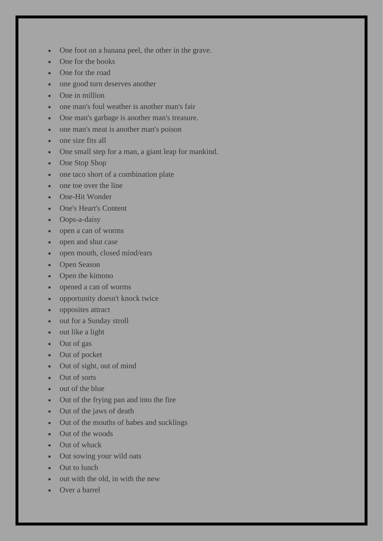- One foot on a banana peel, the other in the grave.
- One for the books
- One for the road
- one good turn deserves another
- One in million
- one man's foul weather is another man's fair
- One man's garbage is another man's treasure.
- one man's meat is another man's poison
- one size fits all
- One small step for a man, a giant leap for mankind.
- One Stop Shop
- one taco short of a combination plate
- one toe over the line
- One-Hit Wonder
- One's Heart's Content
- Oops-a-daisy
- open a can of worms
- open and shut case
- open mouth, closed mind/ears
- Open Season
- Open the kimono
- opened a can of worms
- opportunity doesn't knock twice
- opposites attract
- out for a Sunday stroll
- out like a light
- Out of gas
- Out of pocket
- Out of sight, out of mind
- Out of sorts
- out of the blue
- Out of the frying pan and into the fire
- Out of the jaws of death
- Out of the mouths of babes and sucklings
- Out of the woods
- Out of whack
- Out sowing your wild oats
- Out to lunch
- out with the old, in with the new
- Over a barrel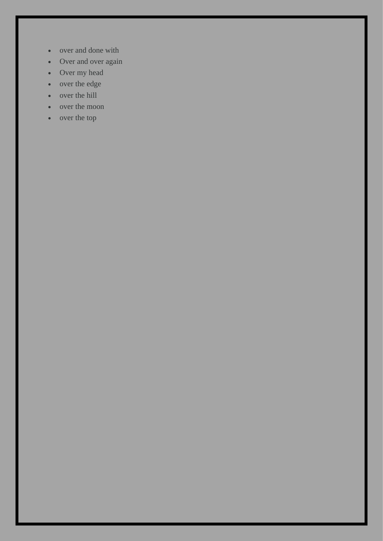- over and done with
- Over and over again
- Over my head
- over the edge
- over the hill
- over the moon
- over the top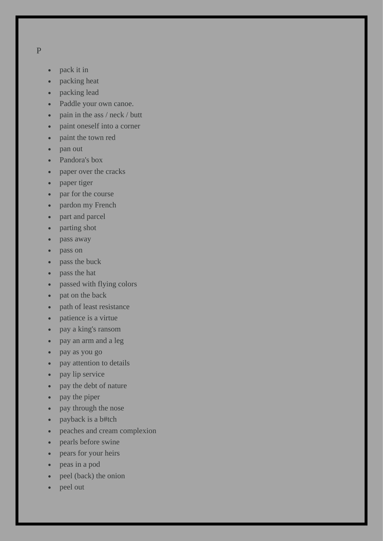- P
- pack it in
- packing heat
- packing lead
- Paddle your own canoe.
- pain in the ass / neck / butt
- paint oneself into a corner
- paint the town red
- pan out
- Pandora's box
- paper over the cracks
- paper tiger
- par for the course
- pardon my French
- part and parcel
- parting shot
- pass away
- pass on
- pass the buck
- pass the hat
- passed with flying colors
- pat on the back
- path of least resistance
- patience is a virtue
- pay a king's ransom
- pay an arm and a leg
- pay as you go
- pay attention to details
- pay lip service
- pay the debt of nature
- pay the piper
- pay through the nose
- payback is a b#tch
- peaches and cream complexion
- pearls before swine
- pears for your heirs
- peas in a pod
- peel (back) the onion
- peel out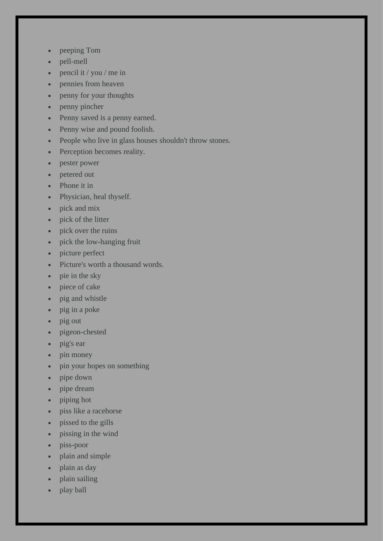- peeping Tom
- pell-mell
- pencil it / you / me in
- pennies from heaven
- penny for your thoughts
- penny pincher
- Penny saved is a penny earned.
- Penny wise and pound foolish.
- People who live in glass houses shouldn't throw stones.
- Perception becomes reality.
- pester power
- petered out
- Phone it in
- Physician, heal thyself.
- pick and mix
- pick of the litter
- pick over the ruins
- pick the low-hanging fruit
- picture perfect
- Picture's worth a thousand words.
- pie in the sky
- piece of cake
- pig and whistle
- pig in a poke
- pig out
- pigeon-chested
- pig's ear
- pin money
- pin your hopes on something
- pipe down
- pipe dream
- piping hot
- piss like a racehorse
- pissed to the gills
- pissing in the wind
- piss-poor
- plain and simple
- plain as day
- plain sailing
- play ball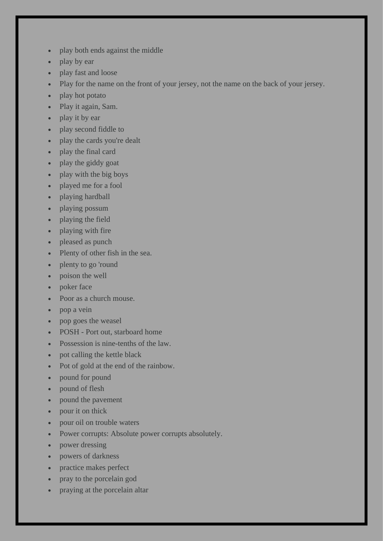- play both ends against the middle
- play by ear
- play fast and loose
- Play for the name on the front of your jersey, not the name on the back of your jersey.
- play hot potato
- Play it again, Sam.
- play it by ear
- play second fiddle to
- play the cards you're dealt
- play the final card
- play the giddy goat
- play with the big boys
- played me for a fool
- playing hardball
- playing possum
- playing the field
- playing with fire
- pleased as punch
- Plenty of other fish in the sea.
- plenty to go 'round
- poison the well
- poker face
- Poor as a church mouse.
- pop a vein
- pop goes the weasel
- POSH Port out, starboard home
- Possession is nine-tenths of the law.
- pot calling the kettle black
- Pot of gold at the end of the rainbow.
- pound for pound
- pound of flesh
- pound the pavement
- pour it on thick
- pour oil on trouble waters
- Power corrupts: Absolute power corrupts absolutely.
- power dressing
- powers of darkness
- practice makes perfect
- pray to the porcelain god
- praying at the porcelain altar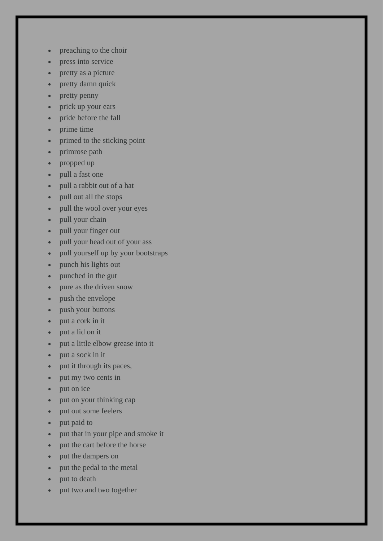- preaching to the choir
- press into service
- pretty as a picture
- pretty damn quick
- pretty penny
- prick up your ears
- pride before the fall
- prime time
- primed to the sticking point
- primrose path
- propped up
- pull a fast one
- pull a rabbit out of a hat
- pull out all the stops
- pull the wool over your eyes
- pull your chain
- pull your finger out
- pull your head out of your ass
- pull yourself up by your bootstraps
- punch his lights out
- punched in the gut
- pure as the driven snow
- push the envelope
- push your buttons
- put a cork in it
- put a lid on it
- put a little elbow grease into it
- put a sock in it
- put it through its paces,
- put my two cents in
- put on ice
- put on your thinking cap
- put out some feelers
- put paid to
- put that in your pipe and smoke it
- put the cart before the horse
- put the dampers on
- put the pedal to the metal
- put to death
- put two and two together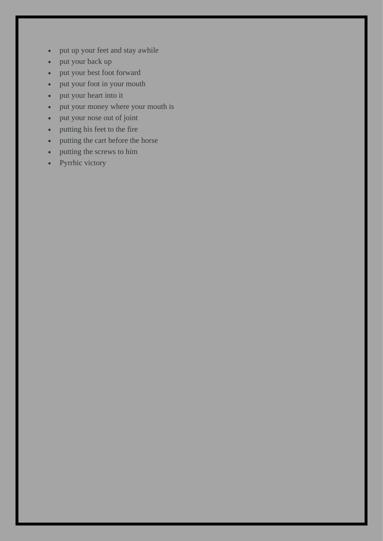- put up your feet and stay awhile
- put your back up
- put your best foot forward
- put your foot in your mouth
- put your heart into it
- put your money where your mouth is
- put your nose out of joint
- putting his feet to the fire
- putting the cart before the horse
- putting the screws to him
- Pyrrhic victory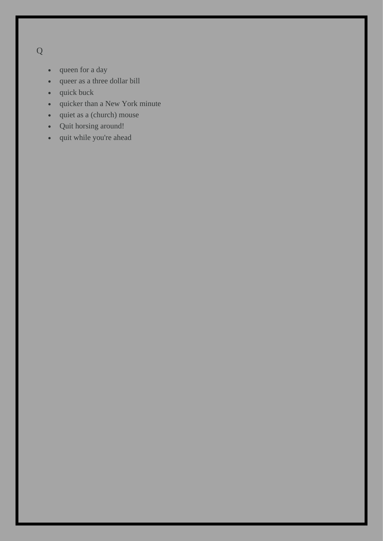Q

- queen for a day
- queer as a three dollar bill
- quick buck
- quicker than a New York minute
- quiet as a (church) mouse
- Quit horsing around!
- quit while you're ahead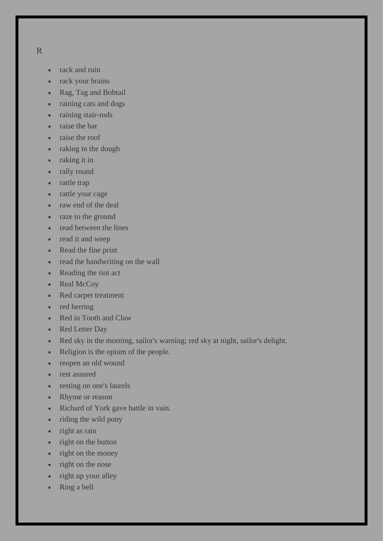- R
- rack and ruin
- rack your brains
- Rag, Tag and Bobtail
- raining cats and dogs
- raining stair-rods
- raise the bar
- raise the roof
- raking in the dough
- raking it in
- rally round
- rattle trap
- rattle your cage
- raw end of the deal
- raze to the ground
- read between the lines
- read it and weep
- Read the fine print
- read the handwriting on the wall
- Reading the riot act
- Real McCoy
- Red carpet treatment
- red herring
- Red in Tooth and Claw
- Red Letter Day
- Red sky in the morning, sailor's warning; red sky at night, sailor's delight.
- Religion is the opium of the people.
- reopen an old wound
- rest assured
- resting on one's laurels
- Rhyme or reason
- Richard of York gave battle in vain.
- riding the wild pony
- right as rain
- right on the button
- right on the money
- right on the nose
- right up your alley
- Ring a bell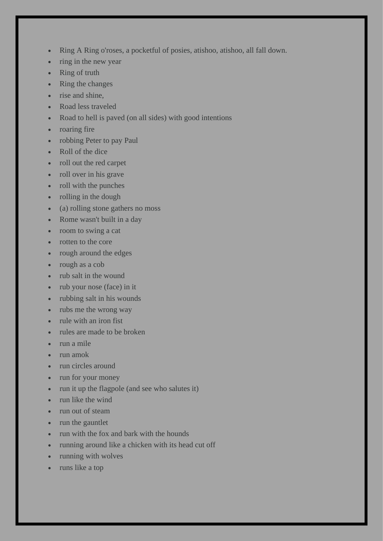- Ring A Ring o'roses, a pocketful of posies, atishoo, atishoo, all fall down.
- ring in the new year
- Ring of truth
- Ring the changes
- rise and shine,
- Road less traveled
- Road to hell is paved (on all sides) with good intentions
- roaring fire
- robbing Peter to pay Paul
- Roll of the dice
- roll out the red carpet
- roll over in his grave
- roll with the punches
- rolling in the dough
- (a) rolling stone gathers no moss
- Rome wasn't built in a day
- room to swing a cat
- rotten to the core
- rough around the edges
- rough as a cob
- rub salt in the wound
- rub your nose (face) in it
- rubbing salt in his wounds
- rubs me the wrong way
- rule with an iron fist
- rules are made to be broken
- run a mile
- run amok
- run circles around
- run for your money
- run it up the flagpole (and see who salutes it)
- run like the wind
- run out of steam
- run the gauntlet
- run with the fox and bark with the hounds
- running around like a chicken with its head cut off
- running with wolves
- runs like a top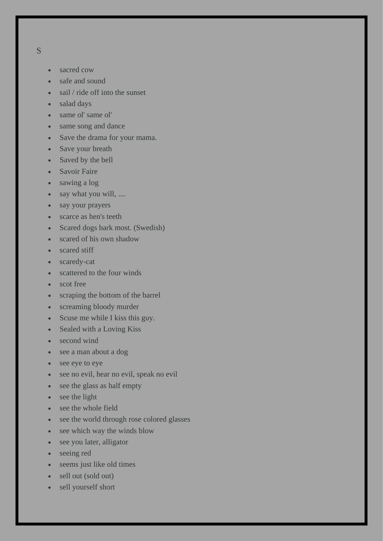- S
- sacred cow
- safe and sound
- sail / ride off into the sunset
- salad days
- same ol' same ol'
- same song and dance
- Save the drama for your mama.
- Save your breath
- Saved by the bell
- Savoir Faire
- sawing a log
- say what you will, ....
- say your prayers
- scarce as hen's teeth
- Scared dogs bark most. (Swedish)
- scared of his own shadow
- scared stiff
- scaredy-cat
- scattered to the four winds
- scot free
- scraping the bottom of the barrel
- screaming bloody murder
- Scuse me while I kiss this guy.
- Sealed with a Loving Kiss
- second wind
- see a man about a dog
- see eye to eye
- see no evil, hear no evil, speak no evil
- see the glass as half empty
- see the light
- see the whole field
- see the world through rose colored glasses
- see which way the winds blow
- see you later, alligator
- seeing red
- seems just like old times
- sell out (sold out)
- sell yourself short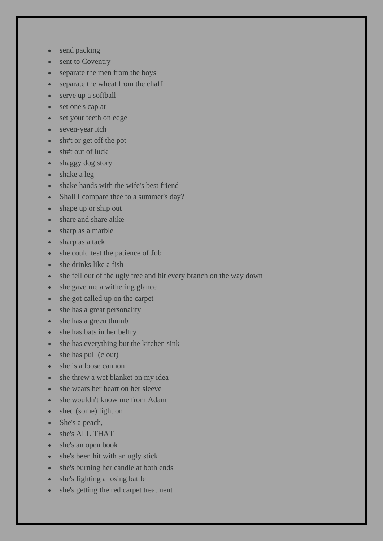- send packing
- sent to Coventry
- separate the men from the boys
- separate the wheat from the chaff
- serve up a softball
- set one's cap at
- set your teeth on edge
- seven-year itch
- sh#t or get off the pot
- sh#t out of luck
- shaggy dog story
- shake a leg
- shake hands with the wife's best friend
- Shall I compare thee to a summer's day?
- shape up or ship out
- share and share alike
- sharp as a marble
- sharp as a tack
- she could test the patience of Job
- she drinks like a fish
- she fell out of the ugly tree and hit every branch on the way down
- she gave me a withering glance
- she got called up on the carpet
- she has a great personality
- she has a green thumb
- she has bats in her belfry
- she has everything but the kitchen sink
- she has pull (clout)
- she is a loose cannon
- she threw a wet blanket on my idea
- she wears her heart on her sleeve
- she wouldn't know me from Adam
- shed (some) light on
- She's a peach,
- she's ALL THAT
- she's an open book
- she's been hit with an ugly stick
- she's burning her candle at both ends
- she's fighting a losing battle
- she's getting the red carpet treatment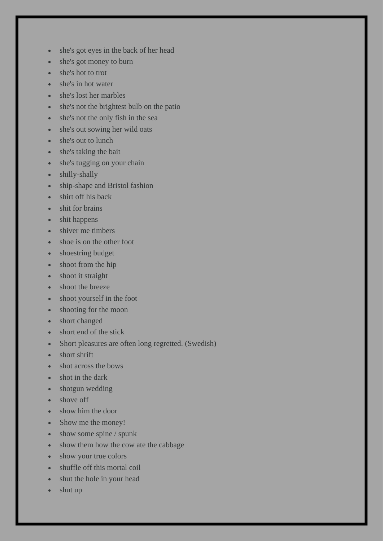- she's got eyes in the back of her head
- she's got money to burn
- she's hot to trot
- she's in hot water
- she's lost her marbles
- she's not the brightest bulb on the patio
- she's not the only fish in the sea
- she's out sowing her wild oats
- she's out to lunch
- she's taking the bait
- she's tugging on your chain
- shilly-shally
- ship-shape and Bristol fashion
- shirt off his back
- shit for brains
- shit happens
- shiver me timbers
- shoe is on the other foot
- shoestring budget
- shoot from the hip
- shoot it straight
- shoot the breeze
- shoot yourself in the foot
- shooting for the moon
- short changed
- short end of the stick
- Short pleasures are often long regretted. (Swedish)
- short shrift
- shot across the bows
- shot in the dark
- shotgun wedding
- shove off
- show him the door
- Show me the money!
- show some spine / spunk
- show them how the cow ate the cabbage
- show your true colors
- shuffle off this mortal coil
- shut the hole in your head
- shut up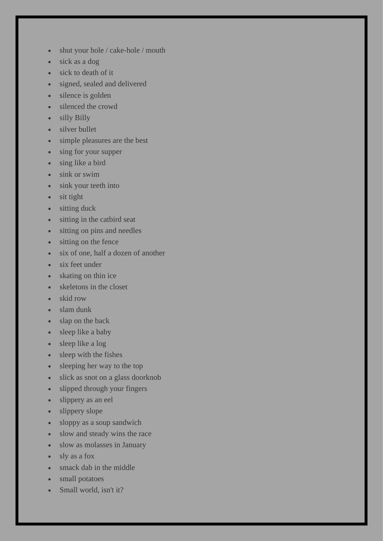- shut your hole / cake-hole / mouth
- sick as a dog
- sick to death of it
- signed, sealed and delivered
- silence is golden
- silenced the crowd
- silly Billy
- silver bullet
- simple pleasures are the best
- sing for your supper
- sing like a bird
- sink or swim
- sink your teeth into
- sit tight
- sitting duck
- sitting in the catbird seat
- sitting on pins and needles
- sitting on the fence
- six of one, half a dozen of another
- six feet under
- skating on thin ice
- skeletons in the closet
- skid row
- slam dunk
- slap on the back
- sleep like a baby
- sleep like a log
- sleep with the fishes
- sleeping her way to the top
- slick as snot on a glass doorknob
- slipped through your fingers
- slippery as an eel
- slippery slope
- sloppy as a soup sandwich
- slow and steady wins the race
- slow as molasses in January
- sly as a fox
- smack dab in the middle
- small potatoes
- Small world, isn't it?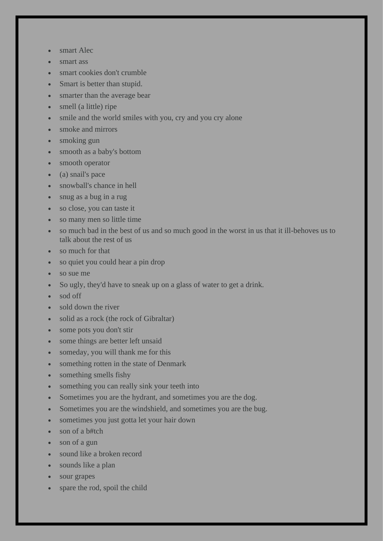- smart Alec
- smart ass
- smart cookies don't crumble
- Smart is better than stupid.
- smarter than the average bear
- smell (a little) ripe
- smile and the world smiles with you, cry and you cry alone
- smoke and mirrors
- smoking gun
- smooth as a baby's bottom
- smooth operator
- (a) snail's pace
- snowball's chance in hell
- snug as a bug in a rug
- so close, you can taste it
- so many men so little time
- so much bad in the best of us and so much good in the worst in us that it ill-behoves us to talk about the rest of us
- so much for that
- so quiet you could hear a pin drop
- so sue me
- So ugly, they'd have to sneak up on a glass of water to get a drink.
- sod off
- sold down the river
- solid as a rock (the rock of Gibraltar)
- some pots you don't stir
- some things are better left unsaid
- someday, you will thank me for this
- something rotten in the state of Denmark
- something smells fishy
- something you can really sink your teeth into
- Sometimes you are the hydrant, and sometimes you are the dog.
- Sometimes you are the windshield, and sometimes you are the bug.
- sometimes you just gotta let your hair down
- son of a b#tch
- son of a gun
- sound like a broken record
- sounds like a plan
- sour grapes
- spare the rod, spoil the child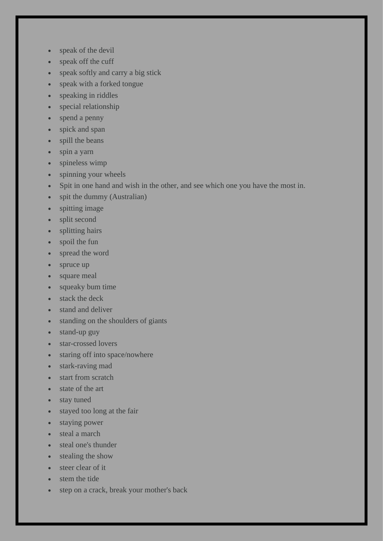- speak of the devil
- speak off the cuff
- speak softly and carry a big stick
- speak with a forked tongue
- speaking in riddles
- special relationship
- spend a penny
- spick and span
- spill the beans
- spin a yarn
- spineless wimp
- spinning your wheels
- Spit in one hand and wish in the other, and see which one you have the most in.
- spit the dummy (Australian)
- spitting image
- split second
- splitting hairs
- spoil the fun
- spread the word
- spruce up
- square meal
- squeaky bum time
- stack the deck
- stand and deliver
- standing on the shoulders of giants
- stand-up guy
- star-crossed lovers
- staring off into space/nowhere
- stark-raving mad
- start from scratch
- state of the art
- stay tuned
- stayed too long at the fair
- staying power
- steal a march
- steal one's thunder
- stealing the show
- steer clear of it
- stem the tide
- step on a crack, break your mother's back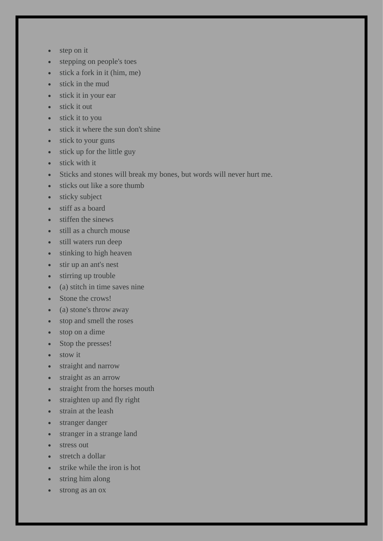- step on it
- stepping on people's toes
- stick a fork in it (him, me)
- stick in the mud
- stick it in your ear
- stick it out
- stick it to you
- stick it where the sun don't shine
- stick to your guns
- stick up for the little guy
- stick with it
- Sticks and stones will break my bones, but words will never hurt me.
- sticks out like a sore thumb
- sticky subject
- stiff as a board
- stiffen the sinews
- still as a church mouse
- still waters run deep
- stinking to high heaven
- stir up an ant's nest
- stirring up trouble
- (a) stitch in time saves nine
- Stone the crows!
- (a) stone's throw away
- stop and smell the roses
- stop on a dime
- Stop the presses!
- stow it
- straight and narrow
- straight as an arrow
- straight from the horses mouth
- straighten up and fly right
- strain at the leash
- stranger danger
- stranger in a strange land
- stress out
- stretch a dollar
- strike while the iron is hot
- string him along
- strong as an ox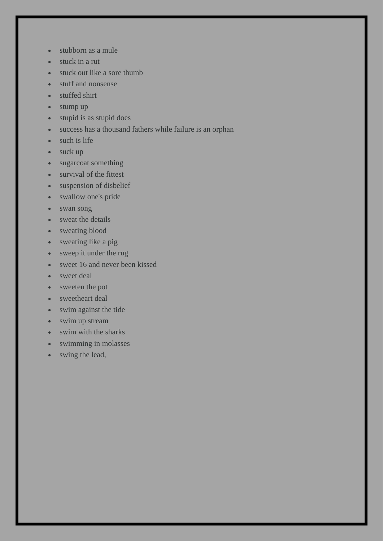- stubborn as a mule
- stuck in a rut
- stuck out like a sore thumb
- stuff and nonsense
- stuffed shirt
- stump up
- stupid is as stupid does
- success has a thousand fathers while failure is an orphan
- such is life
- suck up
- sugarcoat something
- survival of the fittest
- suspension of disbelief
- swallow one's pride
- swan song
- sweat the details
- sweating blood
- sweating like a pig
- sweep it under the rug
- sweet 16 and never been kissed
- sweet deal
- sweeten the pot
- sweetheart deal
- swim against the tide
- swim up stream
- swim with the sharks
- swimming in molasses
- swing the lead,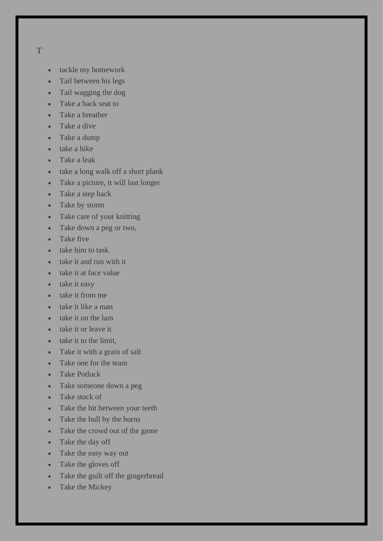## T

- tackle my homework
- Tail between his legs
- Tail wagging the dog
- Take a back seat to
- Take a breather
- Take a dive
- Take a dump
- take a hike
- Take a leak
- take a long walk off a short plank
- Take a picture, it will last longer
- Take a step back
- Take by storm
- Take care of your knitting
- Take down a peg or two,
- Take five
- take him to task
- take it and run with it
- take it at face value
- take it easy
- take it from me
- take it like a man
- take it on the lam
- take it or leave it
- take it to the limit,
- Take it with a grain of salt
- Take one for the team
- Take Potluck
- Take someone down a peg
- Take stock of
- Take the bit between your teeth
- Take the bull by the horns
- Take the crowd out of the game
- Take the day off
- Take the easy way out
- Take the gloves off
- Take the guilt off the gingerbread
- Take the Mickey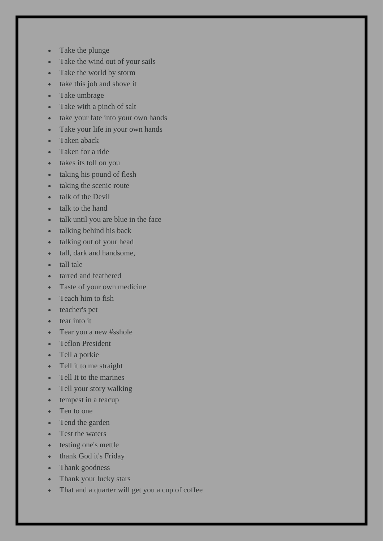- Take the plunge
- Take the wind out of your sails
- Take the world by storm
- take this job and shove it
- Take umbrage
- Take with a pinch of salt
- take your fate into your own hands
- Take your life in your own hands
- Taken aback
- Taken for a ride
- takes its toll on you
- taking his pound of flesh
- taking the scenic route
- talk of the Devil
- talk to the hand
- talk until you are blue in the face
- talking behind his back
- talking out of your head
- tall, dark and handsome,
- tall tale
- tarred and feathered
- Taste of your own medicine
- Teach him to fish
- teacher's pet
- tear into it
- Tear you a new #sshole
- Teflon President
- Tell a porkie
- Tell it to me straight
- Tell It to the marines
- Tell your story walking
- tempest in a teacup
- Ten to one
- Tend the garden
- Test the waters
- testing one's mettle
- thank God it's Friday
- Thank goodness
- Thank your lucky stars
- That and a quarter will get you a cup of coffee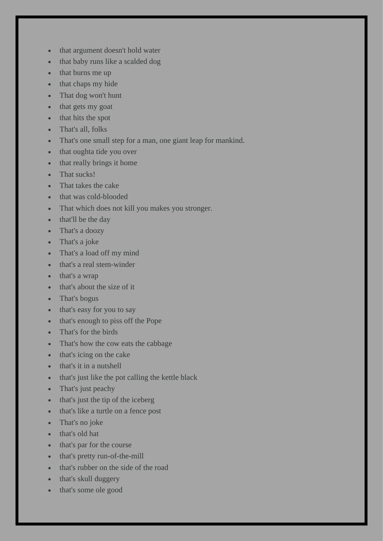- that argument doesn't hold water
- that baby runs like a scalded dog
- that burns me up
- that chaps my hide
- That dog won't hunt
- that gets my goat
- that hits the spot
- That's all, folks
- That's one small step for a man, one giant leap for mankind.
- that oughta tide you over
- that really brings it home
- That sucks!
- That takes the cake
- that was cold-blooded
- That which does not kill you makes you stronger.
- that'll be the day
- That's a doozy
- That's a joke
- That's a load off my mind
- that's a real stem-winder
- that's a wrap
- that's about the size of it
- That's bogus
- that's easy for you to say
- that's enough to piss off the Pope
- That's for the birds
- That's how the cow eats the cabbage
- that's icing on the cake
- that's it in a nutshell
- that's just like the pot calling the kettle black
- That's just peachy
- that's just the tip of the iceberg
- that's like a turtle on a fence post
- That's no joke
- that's old hat
- that's par for the course
- that's pretty run-of-the-mill
- that's rubber on the side of the road
- that's skull duggery
- that's some ole good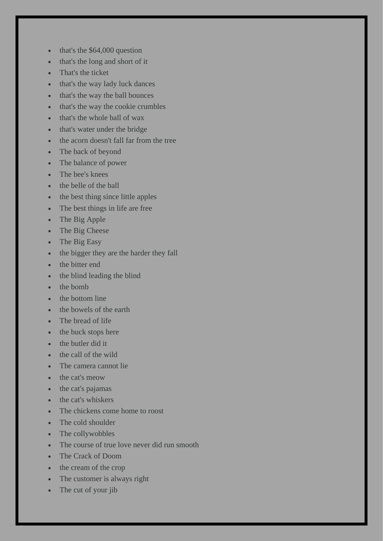- that's the \$64,000 question
- that's the long and short of it
- That's the ticket
- that's the way lady luck dances
- that's the way the ball bounces
- that's the way the cookie crumbles
- that's the whole ball of wax
- that's water under the bridge
- the acorn doesn't fall far from the tree
- The back of beyond
- The balance of power
- The bee's knees
- the belle of the ball
- the best thing since little apples
- The best things in life are free
- The Big Apple
- The Big Cheese
- The Big Easy
- the bigger they are the harder they fall
- the bitter end
- the blind leading the blind
- the bomb
- the bottom line
- the bowels of the earth
- The bread of life
- the buck stops here
- the butler did it
- the call of the wild
- The camera cannot lie
- the cat's meow
- the cat's pajamas
- the cat's whiskers
- The chickens come home to roost
- The cold shoulder
- The collywobbles
- The course of true love never did run smooth
- The Crack of Doom
- the cream of the crop
- The customer is always right
- The cut of your jib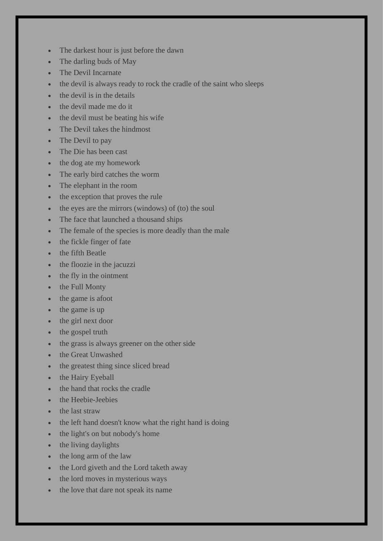- The darkest hour is just before the dawn
- The darling buds of May
- The Devil Incarnate
- the devil is always ready to rock the cradle of the saint who sleeps
- the devil is in the details
- the devil made me do it
- the devil must be beating his wife
- The Devil takes the hindmost
- The Devil to pay
- The Die has been cast
- the dog ate my homework
- The early bird catches the worm
- The elephant in the room
- the exception that proves the rule
- the eyes are the mirrors (windows) of (to) the soul
- The face that launched a thousand ships
- The female of the species is more deadly than the male
- the fickle finger of fate
- the fifth Beatle
- the floozie in the jacuzzi
- the fly in the ointment
- the Full Monty
- the game is afoot
- the game is up
- the girl next door
- the gospel truth
- the grass is always greener on the other side
- the Great Unwashed
- the greatest thing since sliced bread
- the Hairy Eyeball
- the hand that rocks the cradle
- the Heebie-Jeebies
- the last straw
- the left hand doesn't know what the right hand is doing
- the light's on but nobody's home
- the living daylights
- the long arm of the law
- the Lord giveth and the Lord taketh away
- the lord moves in mysterious ways
- the love that dare not speak its name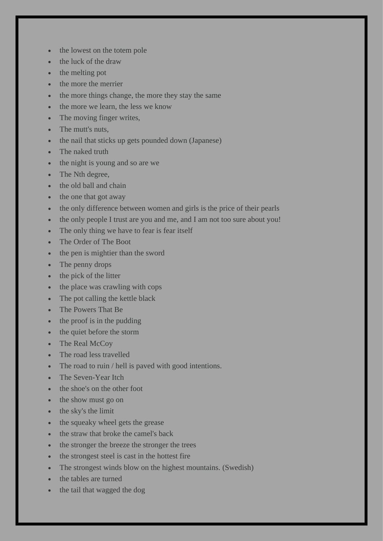- the lowest on the totem pole
- the luck of the draw
- the melting pot
- the more the merrier
- the more things change, the more they stay the same
- the more we learn, the less we know
- The moving finger writes,
- The mutt's nuts.
- the nail that sticks up gets pounded down (Japanese)
- The naked truth
- the night is young and so are we
- The Nth degree,
- the old ball and chain
- the one that got away
- the only difference between women and girls is the price of their pearls
- the only people I trust are you and me, and I am not too sure about you!
- The only thing we have to fear is fear itself
- The Order of The Boot
- the pen is mightier than the sword
- The penny drops
- the pick of the litter
- the place was crawling with cops
- The pot calling the kettle black
- The Powers That Be
- the proof is in the pudding
- the quiet before the storm
- The Real McCoy
- The road less travelled
- The road to ruin / hell is paved with good intentions.
- The Seven-Year Itch
- the shoe's on the other foot
- the show must go on
- the sky's the limit
- the squeaky wheel gets the grease
- the straw that broke the camel's back
- the stronger the breeze the stronger the trees
- the strongest steel is cast in the hottest fire
- The strongest winds blow on the highest mountains. (Swedish)
- the tables are turned
- the tail that wagged the dog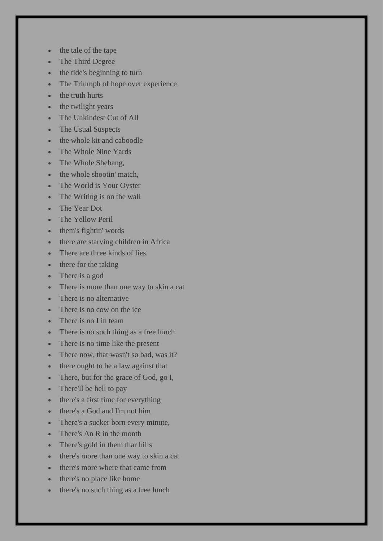- the tale of the tape
- The Third Degree
- the tide's beginning to turn
- The Triumph of hope over experience
- the truth hurts
- the twilight years
- The Unkindest Cut of All
- The Usual Suspects
- the whole kit and caboodle
- The Whole Nine Yards
- The Whole Shebang,
- the whole shootin' match,
- The World is Your Oyster
- The Writing is on the wall
- The Year Dot
- The Yellow Peril
- them's fightin' words
- there are starving children in Africa
- There are three kinds of lies.
- there for the taking
- There is a god
- There is more than one way to skin a cat
- There is no alternative
- There is no cow on the ice
- There is no I in team
- There is no such thing as a free lunch
- There is no time like the present
- There now, that wasn't so bad, was it?
- there ought to be a law against that
- There, but for the grace of God, go I,
- There'll be hell to pay
- there's a first time for everything
- there's a God and I'm not him
- There's a sucker born every minute,
- There's An R in the month
- There's gold in them thar hills
- there's more than one way to skin a cat
- there's more where that came from
- there's no place like home
- there's no such thing as a free lunch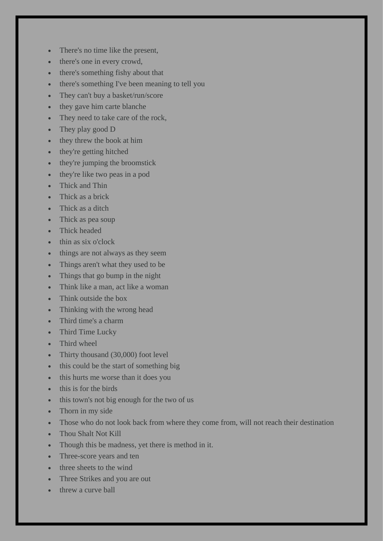- There's no time like the present,
- there's one in every crowd,
- there's something fishy about that
- there's something I've been meaning to tell you
- They can't buy a basket/run/score
- they gave him carte blanche
- They need to take care of the rock,
- They play good D
- they threw the book at him
- they're getting hitched
- they're jumping the broomstick
- they're like two peas in a pod
- Thick and Thin
- Thick as a brick
- Thick as a ditch
- Thick as pea soup
- Thick headed
- thin as six o'clock
- things are not always as they seem
- Things aren't what they used to be
- Things that go bump in the night
- Think like a man, act like a woman
- Think outside the box
- Thinking with the wrong head
- Third time's a charm
- Third Time Lucky
- Third wheel
- Thirty thousand (30,000) foot level
- this could be the start of something big
- this hurts me worse than it does you
- this is for the birds
- this town's not big enough for the two of us
- Thorn in my side
- Those who do not look back from where they come from, will not reach their destination
- Thou Shalt Not Kill
- Though this be madness, yet there is method in it.
- Three-score years and ten
- three sheets to the wind
- Three Strikes and you are out
- threw a curve ball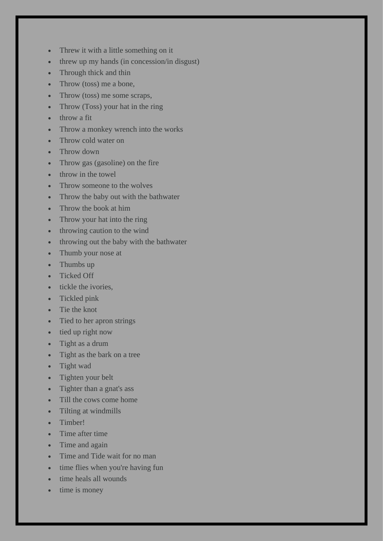- Threw it with a little something on it
- threw up my hands (in concession/in disgust)
- Through thick and thin
- Throw (toss) me a bone,
- Throw (toss) me some scraps,
- Throw (Toss) your hat in the ring
- throw a fit
- Throw a monkey wrench into the works
- Throw cold water on
- Throw down
- Throw gas (gasoline) on the fire
- throw in the towel
- Throw someone to the wolves
- Throw the baby out with the bathwater
- Throw the book at him
- Throw your hat into the ring
- throwing caution to the wind
- throwing out the baby with the bathwater
- Thumb your nose at
- Thumbs up
- Ticked Off
- tickle the ivories.
- Tickled pink
- Tie the knot
- Tied to her apron strings
- tied up right now
- Tight as a drum
- Tight as the bark on a tree
- Tight wad
- Tighten your belt
- Tighter than a gnat's ass
- Till the cows come home
- Tilting at windmills
- Timber!
- Time after time
- Time and again
- Time and Tide wait for no man
- time flies when you're having fun
- time heals all wounds
- time is money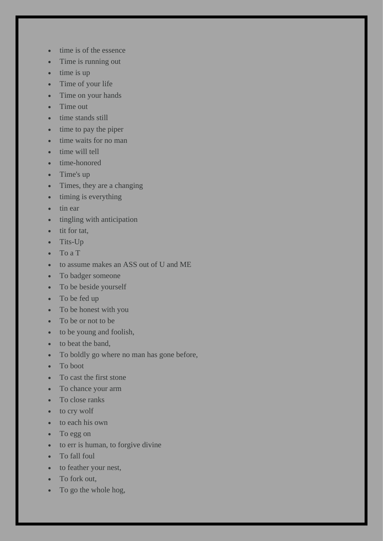- time is of the essence
- Time is running out
- time is up
- Time of your life
- Time on your hands
- Time out
- time stands still
- time to pay the piper
- time waits for no man
- time will tell
- time-honored
- Time's up
- Times, they are a changing
- timing is everything
- tin ear
- tingling with anticipation
- tit for tat.
- Tits-Up
- To a T
- to assume makes an ASS out of U and ME
- To badger someone
- To be beside yourself
- To be fed up
- To be honest with you
- To be or not to be
- to be young and foolish,
- to beat the band,
- To boldly go where no man has gone before,
- To boot
- To cast the first stone
- To chance your arm
- To close ranks
- to cry wolf
- to each his own
- To egg on
- to err is human, to forgive divine
- To fall foul
- to feather your nest,
- To fork out,
- To go the whole hog,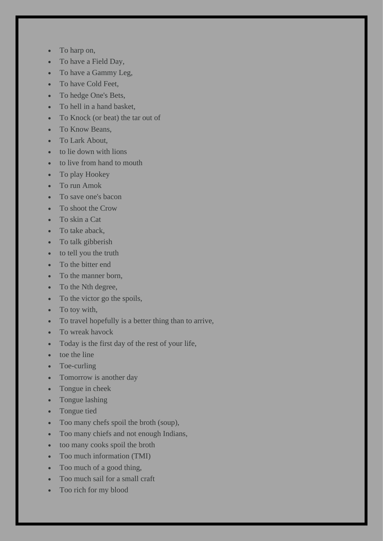- To harp on,
- To have a Field Day,
- To have a Gammy Leg,
- To have Cold Feet,
- To hedge One's Bets.
- To hell in a hand basket,
- To Knock (or beat) the tar out of
- To Know Beans,
- To Lark About,
- to lie down with lions
- to live from hand to mouth
- To play Hookey
- To run Amok
- To save one's bacon
- To shoot the Crow
- To skin a Cat
- To take aback,
- To talk gibberish
- to tell you the truth
- To the bitter end
- To the manner born,
- To the Nth degree,
- To the victor go the spoils,
- To toy with,
- To travel hopefully is a better thing than to arrive,
- To wreak havock
- Today is the first day of the rest of your life,
- toe the line
- Toe-curling
- Tomorrow is another day
- Tongue in cheek
- Tongue lashing
- Tongue tied
- Too many chefs spoil the broth (soup),
- Too many chiefs and not enough Indians,
- too many cooks spoil the broth
- Too much information (TMI)
- Too much of a good thing,
- Too much sail for a small craft
- Too rich for my blood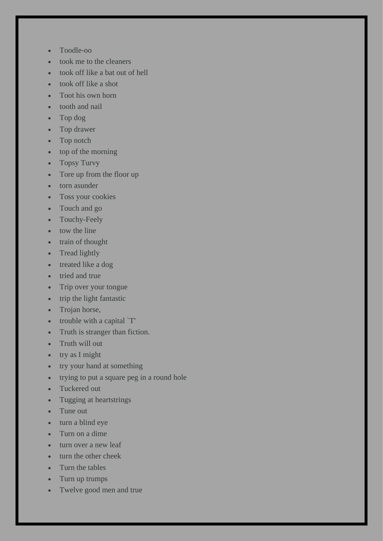- Toodle-oo
- took me to the cleaners
- took off like a bat out of hell
- took off like a shot
- Toot his own horn
- tooth and nail
- Top dog
- Top drawer
- Top notch
- top of the morning
- Topsy Turvy
- Tore up from the floor up
- torn asunder
- Toss your cookies
- Touch and go
- Touchy-Feely
- tow the line
- train of thought
- Tread lightly
- treated like a dog
- tried and true
- Trip over your tongue
- trip the light fantastic
- Trojan horse,
- trouble with a capital `T'
- Truth is stranger than fiction.
- Truth will out
- try as I might
- try your hand at something
- trying to put a square peg in a round hole
- Tuckered out
- Tugging at heartstrings
- Tune out
- turn a blind eye
- Turn on a dime
- turn over a new leaf
- turn the other cheek
- Turn the tables
- Turn up trumps
- Twelve good men and true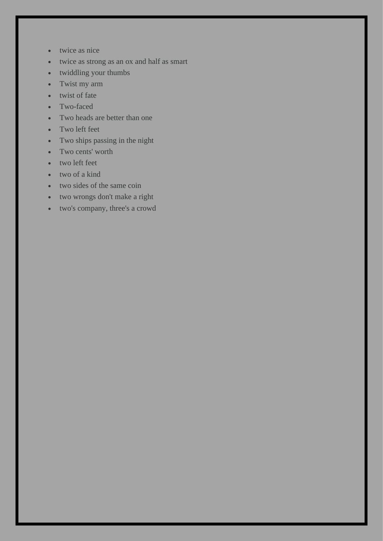- twice as nice
- twice as strong as an ox and half as smart
- twiddling your thumbs
- Twist my arm
- twist of fate
- Two-faced
- Two heads are better than one
- Two left feet
- Two ships passing in the night
- Two cents' worth
- two left feet
- two of a kind
- two sides of the same coin
- two wrongs don't make a right
- two's company, three's a crowd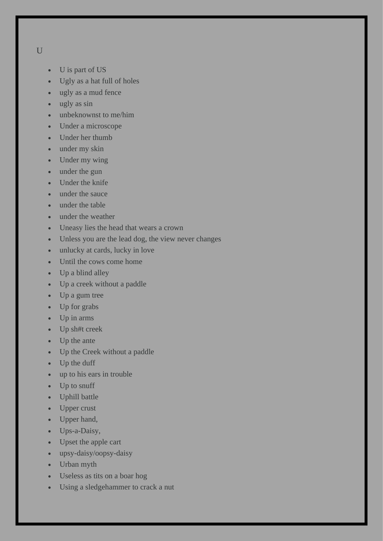U

- U is part of US
- Ugly as a hat full of holes
- ugly as a mud fence
- ugly as sin
- unbeknownst to me/him
- Under a microscope
- Under her thumb
- under my skin
- Under my wing
- under the gun
- Under the knife
- under the sauce
- under the table
- under the weather
- Uneasy lies the head that wears a crown
- Unless you are the lead dog, the view never changes
- unlucky at cards, lucky in love
- Until the cows come home
- Up a blind alley
- Up a creek without a paddle
- Up a gum tree
- Up for grabs
- Up in arms
- Up sh#t creek
- Up the ante
- Up the Creek without a paddle
- Up the duff
- up to his ears in trouble
- Up to snuff
- Uphill battle
- Upper crust
- Upper hand,
- Ups-a-Daisy,
- Upset the apple cart
- upsy-daisy/oopsy-daisy
- Urban myth
- Useless as tits on a boar hog
- Using a sledgehammer to crack a nut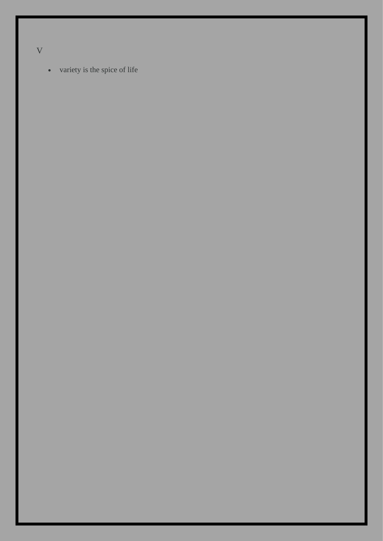V

• variety is the spice of life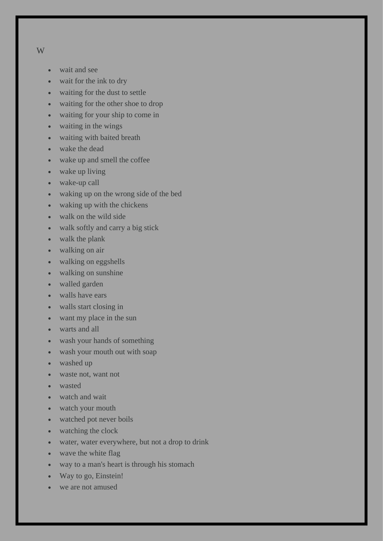- W
- wait and see
- wait for the ink to dry
- waiting for the dust to settle
- waiting for the other shoe to drop
- waiting for your ship to come in
- waiting in the wings
- waiting with baited breath
- wake the dead
- wake up and smell the coffee
- wake up living
- wake-up call
- waking up on the wrong side of the bed
- waking up with the chickens
- walk on the wild side
- walk softly and carry a big stick
- walk the plank
- walking on air
- walking on eggshells
- walking on sunshine
- walled garden
- walls have ears
- walls start closing in
- want my place in the sun
- warts and all
- wash your hands of something
- wash your mouth out with soap
- washed up
- waste not, want not
- wasted
- watch and wait
- watch your mouth
- watched pot never boils
- watching the clock
- water, water everywhere, but not a drop to drink
- wave the white flag
- way to a man's heart is through his stomach
- Way to go, Einstein!
- we are not amused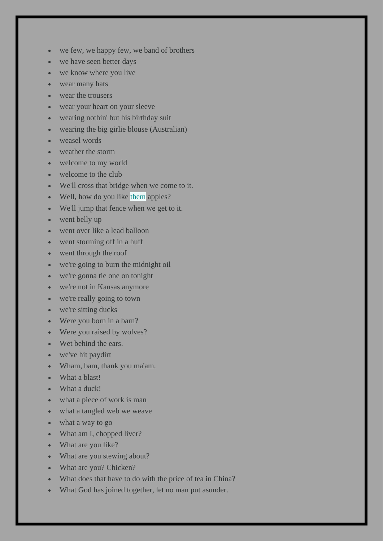- we few, we happy few, we band of brothers
- we have seen better days
- we know where you live
- wear many hats
- wear the trousers
- wear your heart on your sleeve
- wearing nothin' but his birthday suit
- wearing the big girlie blouse (Australian)
- weasel words
- weather the storm
- welcome to my world
- welcome to the club
- We'll cross that bridge when we come to it.
- Well, how do you like them apples?
- We'll jump that fence when we get to it.
- went belly up
- went over like a lead balloon
- went storming off in a huff
- went through the roof
- we're going to burn the midnight oil
- we're gonna tie one on tonight
- we're not in Kansas anymore
- we're really going to town
- we're sitting ducks
- Were you born in a barn?
- Were you raised by wolves?
- Wet behind the ears.
- we've hit paydirt
- Wham, bam, thank you ma'am.
- What a blast!
- What a duck!
- what a piece of work is man
- what a tangled web we weave
- what a way to go
- What am I, chopped liver?
- What are you like?
- What are you stewing about?
- What are you? Chicken?
- What does that have to do with the price of tea in China?
- What God has joined together, let no man put asunder.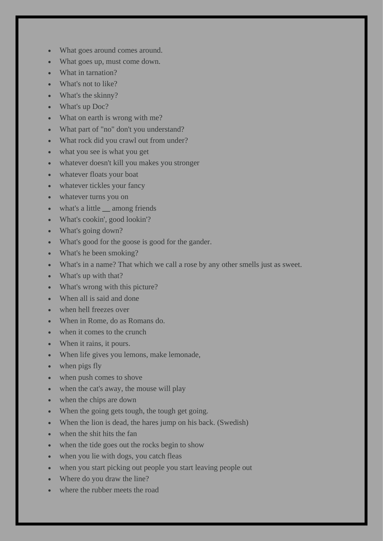- What goes around comes around.
- What goes up, must come down.
- What in tarnation?
- What's not to like?
- What's the skinny?
- What's up Doc?
- What on earth is wrong with me?
- What part of "no" don't you understand?
- What rock did you crawl out from under?
- what you see is what you get
- whatever doesn't kill you makes you stronger
- whatever floats your boat
- whatever tickles your fancy
- whatever turns you on
- what's a little **\_\_** among friends
- What's cookin', good lookin'?
- What's going down?
- What's good for the goose is good for the gander.
- What's he been smoking?
- What's in a name? That which we call a rose by any other smells just as sweet.
- What's up with that?
- What's wrong with this picture?
- When all is said and done
- when hell freezes over
- When in Rome, do as Romans do.
- when it comes to the crunch
- When it rains, it pours.
- When life gives you lemons, make lemonade,
- when pigs fly
- when push comes to shove
- when the cat's away, the mouse will play
- when the chips are down
- When the going gets tough, the tough get going.
- When the lion is dead, the hares jump on his back. (Swedish)
- when the shit hits the fan
- when the tide goes out the rocks begin to show
- when you lie with dogs, you catch fleas
- when you start picking out people you start leaving people out
- Where do you draw the line?
- where the rubber meets the road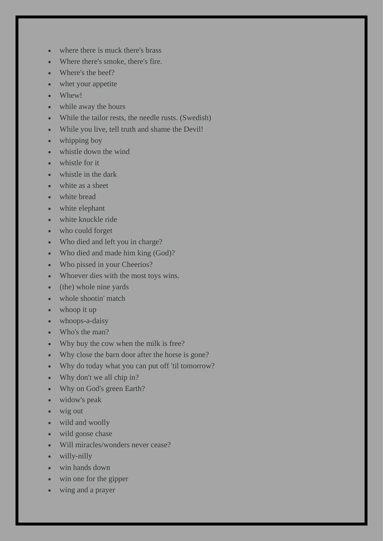- where there is muck there's brass
- Where there's smoke, there's fire.
- Where's the beef?
- whet your appetite
- Whew!
- while away the hours
- While the tailor rests, the needle rusts. (Swedish)
- While you live, tell truth and shame the Devil!
- whipping boy
- whistle down the wind
- whistle for it
- whistle in the dark
- white as a sheet
- white bread
- white elephant
- white knuckle ride
- who could forget
- Who died and left you in charge?
- Who died and made him king (God)?
- Who pissed in your Cheerios?
- Whoever dies with the most toys wins.
- (the) whole nine yards
- whole shootin' match
- whoop it up
- whoops-a-daisy
- Who's the man?
- Why buy the cow when the milk is free?
- Why close the barn door after the horse is gone?
- Why do today what you can put off 'til tomorrow?
- Why don't we all chip in?
- Why on God's green Earth?
- widow's peak
- wig out
- wild and woolly
- wild goose chase
- Will miracles/wonders never cease?
- willy-nilly
- win hands down
- win one for the gipper
- wing and a prayer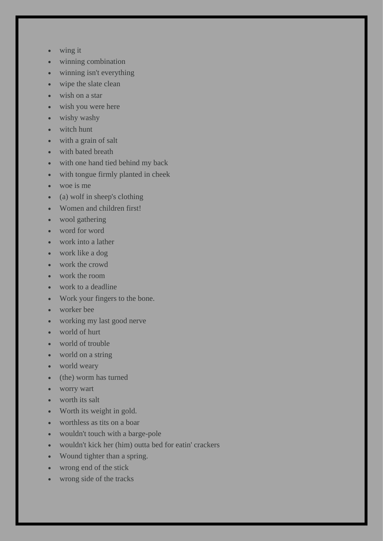- wing it
- winning combination
- winning isn't everything
- wipe the slate clean
- wish on a star
- wish you were here
- wishy washy
- witch hunt
- with a grain of salt
- with bated breath
- with one hand tied behind my back
- with tongue firmly planted in cheek
- woe is me
- (a) wolf in sheep's clothing
- Women and children first!
- wool gathering
- word for word
- work into a lather
- work like a dog
- work the crowd
- work the room
- work to a deadline
- Work your fingers to the bone.
- worker bee
- working my last good nerve
- world of hurt
- world of trouble
- world on a string
- world weary
- (the) worm has turned
- worry wart
- worth its salt
- Worth its weight in gold.
- worthless as tits on a boar
- wouldn't touch with a barge-pole
- wouldn't kick her (him) outta bed for eatin' crackers
- Wound tighter than a spring.
- wrong end of the stick
- wrong side of the tracks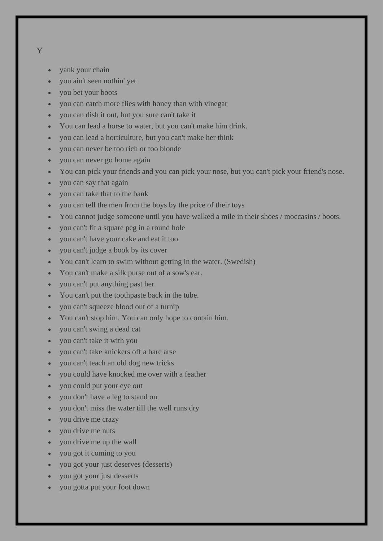- Y
- vank your chain
- you ain't seen nothin' yet
- you bet your boots
- you can catch more flies with honey than with vinegar
- you can dish it out, but you sure can't take it
- You can lead a horse to water, but you can't make him drink.
- you can lead a horticulture, but you can't make her think
- you can never be too rich or too blonde
- you can never go home again
- You can pick your friends and you can pick your nose, but you can't pick your friend's nose.
- you can say that again
- you can take that to the bank
- you can tell the men from the boys by the price of their toys
- You cannot judge someone until you have walked a mile in their shoes / moccasins / boots.
- you can't fit a square peg in a round hole
- you can't have your cake and eat it too
- you can't judge a book by its cover
- You can't learn to swim without getting in the water. (Swedish)
- You can't make a silk purse out of a sow's ear.
- you can't put anything past her
- You can't put the toothpaste back in the tube.
- you can't squeeze blood out of a turnip
- You can't stop him. You can only hope to contain him.
- you can't swing a dead cat
- you can't take it with you
- you can't take knickers off a bare arse
- you can't teach an old dog new tricks
- you could have knocked me over with a feather
- you could put your eye out
- you don't have a leg to stand on
- you don't miss the water till the well runs dry
- you drive me crazy
- you drive me nuts
- you drive me up the wall
- you got it coming to you
- you got your just deserves (desserts)
- you got your just desserts
- you gotta put your foot down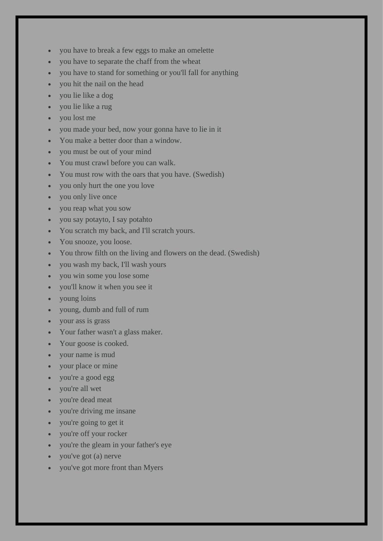- you have to break a few eggs to make an omelette
- you have to separate the chaff from the wheat
- you have to stand for something or you'll fall for anything
- you hit the nail on the head
- you lie like a dog
- you lie like a rug
- you lost me
- you made your bed, now your gonna have to lie in it
- You make a better door than a window.
- you must be out of your mind
- You must crawl before you can walk.
- You must row with the oars that you have. (Swedish)
- you only hurt the one you love
- you only live once
- you reap what you sow
- you say potayto, I say potahto
- You scratch my back, and I'll scratch yours.
- You snooze, you loose.
- You throw filth on the living and flowers on the dead. (Swedish)
- you wash my back, I'll wash yours
- you win some you lose some
- you'll know it when you see it
- young loins
- young, dumb and full of rum
- your ass is grass
- Your father wasn't a glass maker.
- Your goose is cooked.
- your name is mud
- your place or mine
- you're a good egg
- you're all wet
- you're dead meat
- you're driving me insane
- you're going to get it
- you're off your rocker
- you're the gleam in your father's eye
- you've got (a) nerve
- you've got more front than Myers